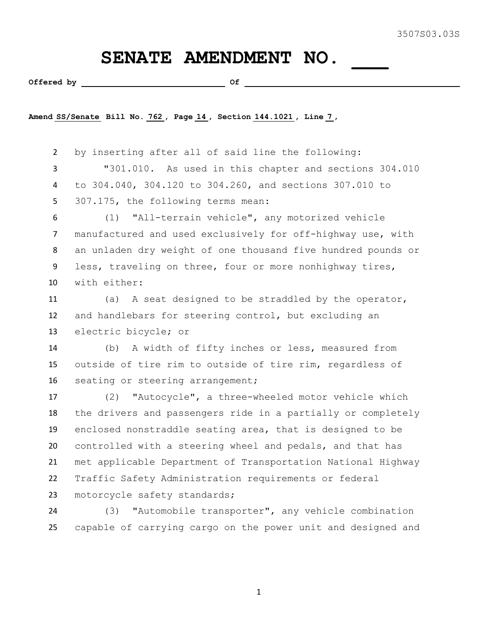## SENATE AMENDMENT NO.

**Offered by Of** 

**Amend SS/Senate Bill No. 762 , Page 14 , Section 144.1021 , Line 7 ,** 

 by inserting after all of said line the following: "301.010. As used in this chapter and sections 304.010 to 304.040, 304.120 to 304.260, and sections 307.010 to 307.175, the following terms mean:

 (1) "All-terrain vehicle", any motorized vehicle manufactured and used exclusively for off-highway use, with an unladen dry weight of one thousand five hundred pounds or less, traveling on three, four or more nonhighway tires, with either:

 (a) A seat designed to be straddled by the operator, and handlebars for steering control, but excluding an electric bicycle; or

 (b) A width of fifty inches or less, measured from outside of tire rim to outside of tire rim, regardless of 16 seating or steering arrangement;

 (2) "Autocycle", a three-wheeled motor vehicle which the drivers and passengers ride in a partially or completely enclosed nonstraddle seating area, that is designed to be controlled with a steering wheel and pedals, and that has met applicable Department of Transportation National Highway Traffic Safety Administration requirements or federal motorcycle safety standards;

 (3) "Automobile transporter", any vehicle combination capable of carrying cargo on the power unit and designed and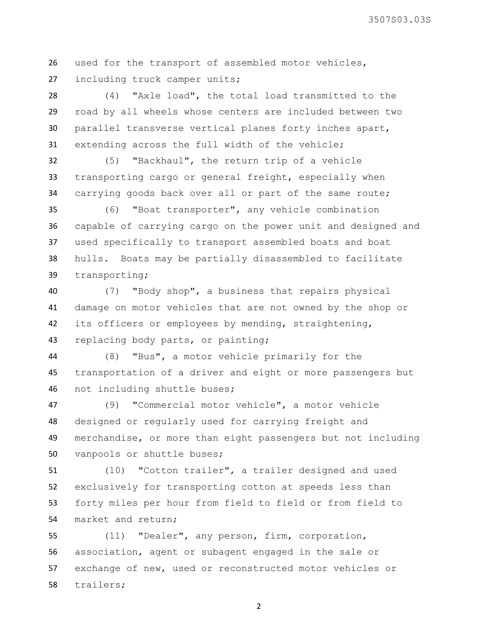used for the transport of assembled motor vehicles, including truck camper units;

 (4) "Axle load", the total load transmitted to the road by all wheels whose centers are included between two parallel transverse vertical planes forty inches apart, extending across the full width of the vehicle;

 (5) "Backhaul", the return trip of a vehicle transporting cargo or general freight, especially when carrying goods back over all or part of the same route;

 (6) "Boat transporter", any vehicle combination capable of carrying cargo on the power unit and designed and used specifically to transport assembled boats and boat hulls. Boats may be partially disassembled to facilitate transporting;

 (7) "Body shop", a business that repairs physical damage on motor vehicles that are not owned by the shop or its officers or employees by mending, straightening, replacing body parts, or painting;

 (8) "Bus", a motor vehicle primarily for the transportation of a driver and eight or more passengers but not including shuttle buses;

 (9) "Commercial motor vehicle", a motor vehicle designed or regularly used for carrying freight and merchandise, or more than eight passengers but not including vanpools or shuttle buses;

 (10) "Cotton trailer", a trailer designed and used exclusively for transporting cotton at speeds less than forty miles per hour from field to field or from field to market and return;

 (11) "Dealer", any person, firm, corporation, association, agent or subagent engaged in the sale or exchange of new, used or reconstructed motor vehicles or trailers;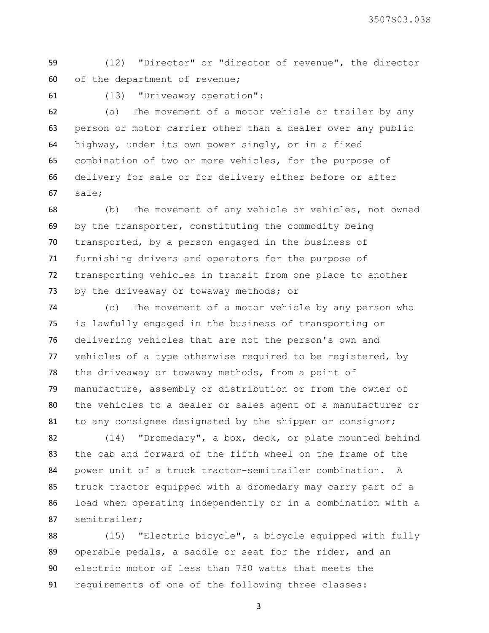(12) "Director" or "director of revenue", the director of the department of revenue;

(13) "Driveaway operation":

 (a) The movement of a motor vehicle or trailer by any person or motor carrier other than a dealer over any public highway, under its own power singly, or in a fixed combination of two or more vehicles, for the purpose of delivery for sale or for delivery either before or after sale;

 (b) The movement of any vehicle or vehicles, not owned by the transporter, constituting the commodity being transported, by a person engaged in the business of furnishing drivers and operators for the purpose of transporting vehicles in transit from one place to another 73 by the driveaway or towaway methods; or

 (c) The movement of a motor vehicle by any person who is lawfully engaged in the business of transporting or delivering vehicles that are not the person's own and vehicles of a type otherwise required to be registered, by the driveaway or towaway methods, from a point of manufacture, assembly or distribution or from the owner of the vehicles to a dealer or sales agent of a manufacturer or 81 to any consignee designated by the shipper or consignor;

 (14) "Dromedary", a box, deck, or plate mounted behind the cab and forward of the fifth wheel on the frame of the power unit of a truck tractor-semitrailer combination. A truck tractor equipped with a dromedary may carry part of a load when operating independently or in a combination with a semitrailer;

 (15) "Electric bicycle", a bicycle equipped with fully operable pedals, a saddle or seat for the rider, and an electric motor of less than 750 watts that meets the requirements of one of the following three classes: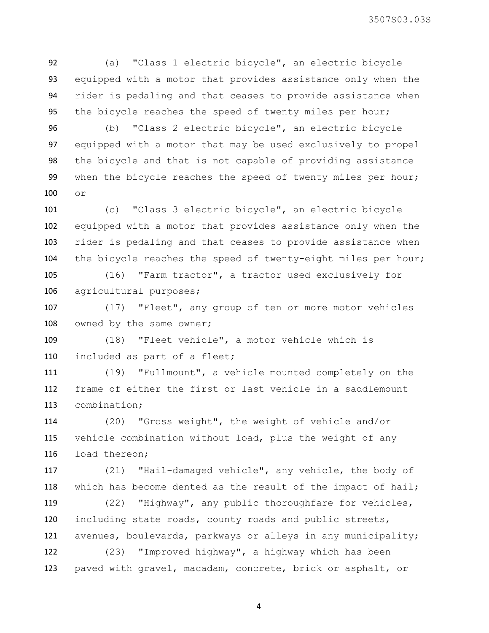(a) "Class 1 electric bicycle", an electric bicycle equipped with a motor that provides assistance only when the rider is pedaling and that ceases to provide assistance when the bicycle reaches the speed of twenty miles per hour;

 (b) "Class 2 electric bicycle", an electric bicycle equipped with a motor that may be used exclusively to propel the bicycle and that is not capable of providing assistance when the bicycle reaches the speed of twenty miles per hour; or

 (c) "Class 3 electric bicycle", an electric bicycle equipped with a motor that provides assistance only when the rider is pedaling and that ceases to provide assistance when the bicycle reaches the speed of twenty-eight miles per hour;

 (16) "Farm tractor", a tractor used exclusively for agricultural purposes;

 (17) "Fleet", any group of ten or more motor vehicles 108 owned by the same owner;

 (18) "Fleet vehicle", a motor vehicle which is included as part of a fleet;

 (19) "Fullmount", a vehicle mounted completely on the frame of either the first or last vehicle in a saddlemount combination;

 (20) "Gross weight", the weight of vehicle and/or vehicle combination without load, plus the weight of any load thereon;

 (21) "Hail-damaged vehicle", any vehicle, the body of which has become dented as the result of the impact of hail;

 (22) "Highway", any public thoroughfare for vehicles, including state roads, county roads and public streets, avenues, boulevards, parkways or alleys in any municipality;

 (23) "Improved highway", a highway which has been paved with gravel, macadam, concrete, brick or asphalt, or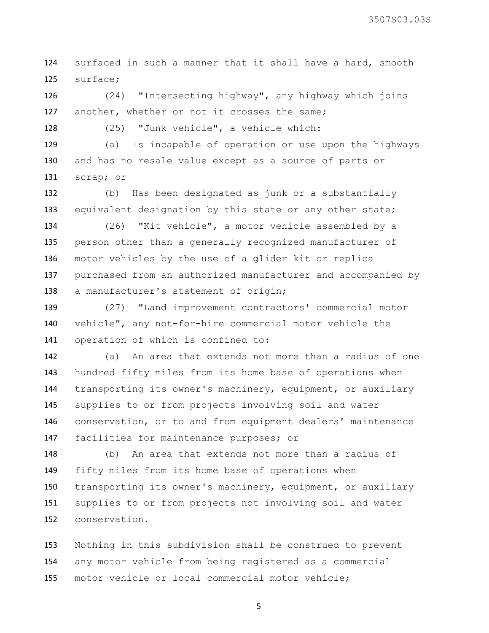surfaced in such a manner that it shall have a hard, smooth surface;

 (24) "Intersecting highway", any highway which joins another, whether or not it crosses the same;

(25) "Junk vehicle", a vehicle which:

 (a) Is incapable of operation or use upon the highways and has no resale value except as a source of parts or scrap; or

 (b) Has been designated as junk or a substantially 133 equivalent designation by this state or any other state;

 (26) "Kit vehicle", a motor vehicle assembled by a person other than a generally recognized manufacturer of motor vehicles by the use of a glider kit or replica purchased from an authorized manufacturer and accompanied by 138 a manufacturer's statement of origin;

 (27) "Land improvement contractors' commercial motor vehicle", any not-for-hire commercial motor vehicle the operation of which is confined to:

 (a) An area that extends not more than a radius of one hundred fifty miles from its home base of operations when transporting its owner's machinery, equipment, or auxiliary supplies to or from projects involving soil and water conservation, or to and from equipment dealers' maintenance facilities for maintenance purposes; or

 (b) An area that extends not more than a radius of fifty miles from its home base of operations when transporting its owner's machinery, equipment, or auxiliary supplies to or from projects not involving soil and water conservation.

 Nothing in this subdivision shall be construed to prevent any motor vehicle from being registered as a commercial motor vehicle or local commercial motor vehicle;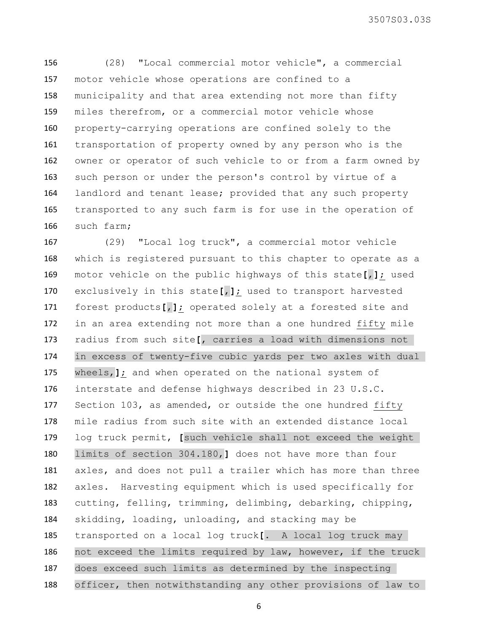(28) "Local commercial motor vehicle", a commercial motor vehicle whose operations are confined to a municipality and that area extending not more than fifty miles therefrom, or a commercial motor vehicle whose property-carrying operations are confined solely to the transportation of property owned by any person who is the owner or operator of such vehicle to or from a farm owned by such person or under the person's control by virtue of a 164 landlord and tenant lease; provided that any such property transported to any such farm is for use in the operation of such farm;

 (29) "Local log truck", a commercial motor vehicle which is registered pursuant to this chapter to operate as a motor vehicle on the public highways of this state**[**,**]**; used exclusively in this state**[**,**]**; used to transport harvested forest products**[**,**]**; operated solely at a forested site and in an area extending not more than a one hundred fifty mile radius from such site**[**, carries a load with dimensions not in excess of twenty-five cubic yards per two axles with dual wheels,**]**; and when operated on the national system of interstate and defense highways described in 23 U.S.C. Section 103, as amended, or outside the one hundred fifty mile radius from such site with an extended distance local log truck permit, **[**such vehicle shall not exceed the weight limits of section 304.180,**]** does not have more than four axles, and does not pull a trailer which has more than three axles. Harvesting equipment which is used specifically for cutting, felling, trimming, delimbing, debarking, chipping, skidding, loading, unloading, and stacking may be transported on a local log truck**[**. A local log truck may not exceed the limits required by law, however, if the truck does exceed such limits as determined by the inspecting officer, then notwithstanding any other provisions of law to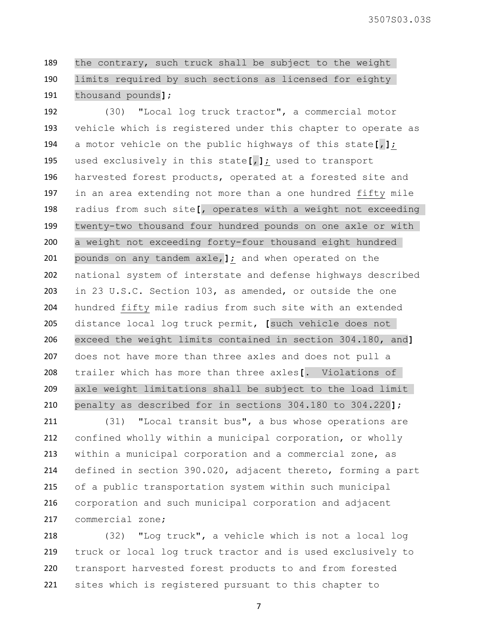the contrary, such truck shall be subject to the weight limits required by such sections as licensed for eighty thousand pounds**]**;

 (30) "Local log truck tractor", a commercial motor vehicle which is registered under this chapter to operate as a motor vehicle on the public highways of this state**[**,**]**; used exclusively in this state**[**,**]**; used to transport harvested forest products, operated at a forested site and in an area extending not more than a one hundred fifty mile radius from such site**[**, operates with a weight not exceeding twenty-two thousand four hundred pounds on one axle or with a weight not exceeding forty-four thousand eight hundred pounds on any tandem axle,**]**; and when operated on the national system of interstate and defense highways described in 23 U.S.C. Section 103, as amended, or outside the one hundred fifty mile radius from such site with an extended distance local log truck permit, **[**such vehicle does not exceed the weight limits contained in section 304.180, and**]** does not have more than three axles and does not pull a trailer which has more than three axles**[**. Violations of axle weight limitations shall be subject to the load limit penalty as described for in sections 304.180 to 304.220**]**;

 (31) "Local transit bus", a bus whose operations are confined wholly within a municipal corporation, or wholly within a municipal corporation and a commercial zone, as defined in section 390.020, adjacent thereto, forming a part of a public transportation system within such municipal corporation and such municipal corporation and adjacent commercial zone;

 (32) "Log truck", a vehicle which is not a local log truck or local log truck tractor and is used exclusively to transport harvested forest products to and from forested sites which is registered pursuant to this chapter to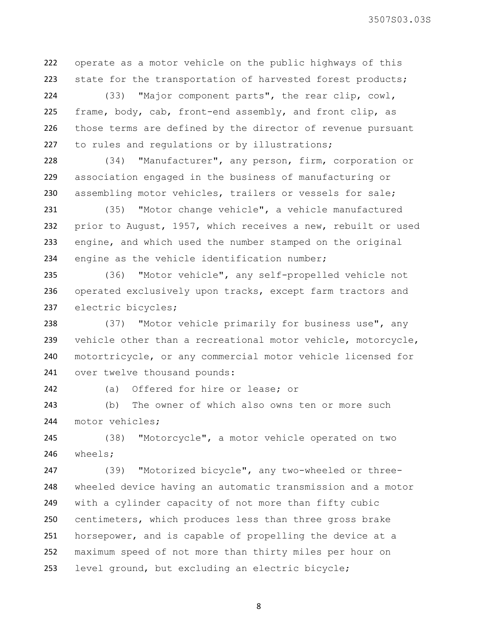operate as a motor vehicle on the public highways of this 223 state for the transportation of harvested forest products;

 (33) "Major component parts", the rear clip, cowl, frame, body, cab, front-end assembly, and front clip, as those terms are defined by the director of revenue pursuant 227 to rules and regulations or by illustrations;

 (34) "Manufacturer", any person, firm, corporation or association engaged in the business of manufacturing or assembling motor vehicles, trailers or vessels for sale;

 (35) "Motor change vehicle", a vehicle manufactured prior to August, 1957, which receives a new, rebuilt or used engine, and which used the number stamped on the original 234 engine as the vehicle identification number;

 (36) "Motor vehicle", any self-propelled vehicle not operated exclusively upon tracks, except farm tractors and electric bicycles;

238 (37) "Motor vehicle primarily for business use", any vehicle other than a recreational motor vehicle, motorcycle, motortricycle, or any commercial motor vehicle licensed for over twelve thousand pounds:

(a) Offered for hire or lease; or

 (b) The owner of which also owns ten or more such 244 motor vehicles;

 (38) "Motorcycle", a motor vehicle operated on two wheels;

 (39) "Motorized bicycle", any two-wheeled or three- wheeled device having an automatic transmission and a motor with a cylinder capacity of not more than fifty cubic centimeters, which produces less than three gross brake horsepower, and is capable of propelling the device at a maximum speed of not more than thirty miles per hour on level ground, but excluding an electric bicycle;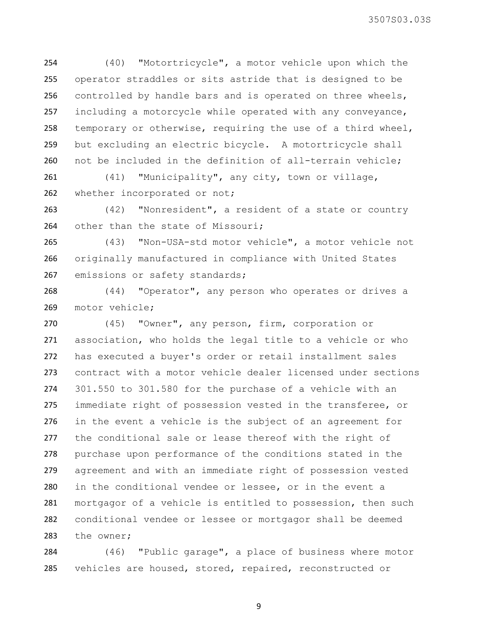(40) "Motortricycle", a motor vehicle upon which the operator straddles or sits astride that is designed to be controlled by handle bars and is operated on three wheels, including a motorcycle while operated with any conveyance, temporary or otherwise, requiring the use of a third wheel, but excluding an electric bicycle. A motortricycle shall not be included in the definition of all-terrain vehicle;

 (41) "Municipality", any city, town or village, 262 whether incorporated or not;

 (42) "Nonresident", a resident of a state or country 264 other than the state of Missouri;

 (43) "Non-USA-std motor vehicle", a motor vehicle not originally manufactured in compliance with United States 267 emissions or safety standards;

 (44) "Operator", any person who operates or drives a motor vehicle;

 (45) "Owner", any person, firm, corporation or association, who holds the legal title to a vehicle or who has executed a buyer's order or retail installment sales contract with a motor vehicle dealer licensed under sections 301.550 to 301.580 for the purchase of a vehicle with an immediate right of possession vested in the transferee, or in the event a vehicle is the subject of an agreement for the conditional sale or lease thereof with the right of purchase upon performance of the conditions stated in the agreement and with an immediate right of possession vested in the conditional vendee or lessee, or in the event a mortgagor of a vehicle is entitled to possession, then such conditional vendee or lessee or mortgagor shall be deemed the owner;

 (46) "Public garage", a place of business where motor vehicles are housed, stored, repaired, reconstructed or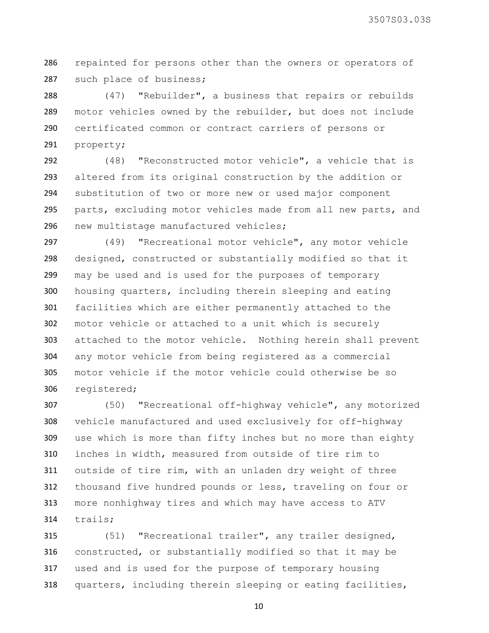repainted for persons other than the owners or operators of such place of business;

 (47) "Rebuilder", a business that repairs or rebuilds motor vehicles owned by the rebuilder, but does not include certificated common or contract carriers of persons or property;

 (48) "Reconstructed motor vehicle", a vehicle that is altered from its original construction by the addition or substitution of two or more new or used major component parts, excluding motor vehicles made from all new parts, and new multistage manufactured vehicles;

 (49) "Recreational motor vehicle", any motor vehicle designed, constructed or substantially modified so that it may be used and is used for the purposes of temporary housing quarters, including therein sleeping and eating facilities which are either permanently attached to the motor vehicle or attached to a unit which is securely attached to the motor vehicle. Nothing herein shall prevent any motor vehicle from being registered as a commercial motor vehicle if the motor vehicle could otherwise be so registered;

 (50) "Recreational off-highway vehicle", any motorized vehicle manufactured and used exclusively for off-highway use which is more than fifty inches but no more than eighty inches in width, measured from outside of tire rim to outside of tire rim, with an unladen dry weight of three thousand five hundred pounds or less, traveling on four or more nonhighway tires and which may have access to ATV trails;

 (51) "Recreational trailer", any trailer designed, constructed, or substantially modified so that it may be used and is used for the purpose of temporary housing quarters, including therein sleeping or eating facilities,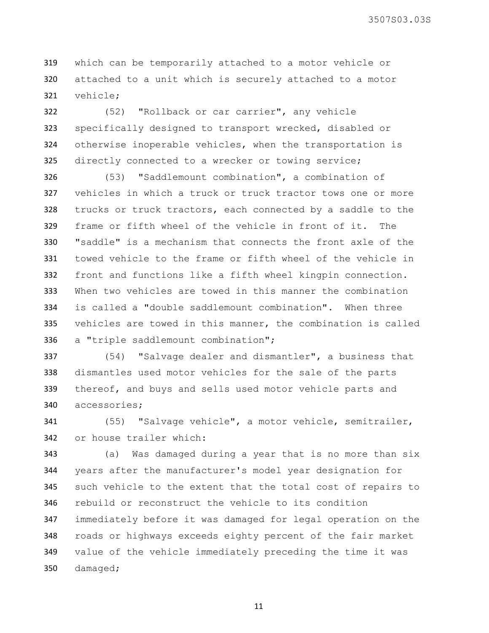which can be temporarily attached to a motor vehicle or attached to a unit which is securely attached to a motor vehicle;

 (52) "Rollback or car carrier", any vehicle specifically designed to transport wrecked, disabled or otherwise inoperable vehicles, when the transportation is directly connected to a wrecker or towing service;

 (53) "Saddlemount combination", a combination of vehicles in which a truck or truck tractor tows one or more trucks or truck tractors, each connected by a saddle to the frame or fifth wheel of the vehicle in front of it. The "saddle" is a mechanism that connects the front axle of the towed vehicle to the frame or fifth wheel of the vehicle in front and functions like a fifth wheel kingpin connection. When two vehicles are towed in this manner the combination is called a "double saddlemount combination". When three vehicles are towed in this manner, the combination is called a "triple saddlemount combination";

 (54) "Salvage dealer and dismantler", a business that dismantles used motor vehicles for the sale of the parts 339 thereof, and buys and sells used motor vehicle parts and accessories;

 (55) "Salvage vehicle", a motor vehicle, semitrailer, or house trailer which:

 (a) Was damaged during a year that is no more than six years after the manufacturer's model year designation for such vehicle to the extent that the total cost of repairs to rebuild or reconstruct the vehicle to its condition immediately before it was damaged for legal operation on the roads or highways exceeds eighty percent of the fair market value of the vehicle immediately preceding the time it was damaged;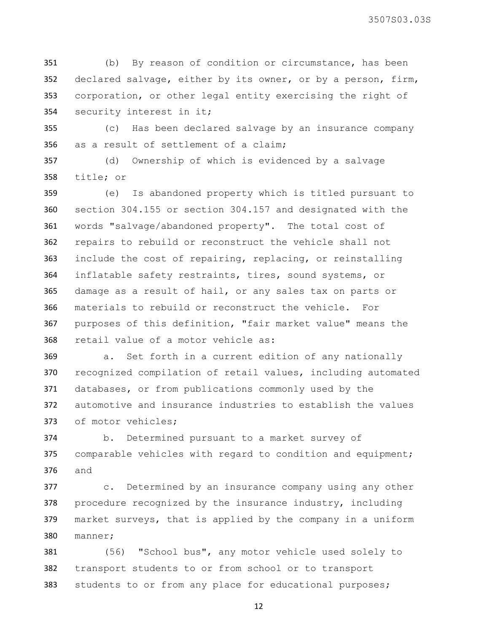(b) By reason of condition or circumstance, has been declared salvage, either by its owner, or by a person, firm, corporation, or other legal entity exercising the right of security interest in it;

 (c) Has been declared salvage by an insurance company as a result of settlement of a claim;

 (d) Ownership of which is evidenced by a salvage title; or

 (e) Is abandoned property which is titled pursuant to section 304.155 or section 304.157 and designated with the words "salvage/abandoned property". The total cost of repairs to rebuild or reconstruct the vehicle shall not include the cost of repairing, replacing, or reinstalling inflatable safety restraints, tires, sound systems, or damage as a result of hail, or any sales tax on parts or materials to rebuild or reconstruct the vehicle. For purposes of this definition, "fair market value" means the retail value of a motor vehicle as:

 a. Set forth in a current edition of any nationally recognized compilation of retail values, including automated databases, or from publications commonly used by the automotive and insurance industries to establish the values of motor vehicles;

 b. Determined pursuant to a market survey of 375 comparable vehicles with regard to condition and equipment; and

 c. Determined by an insurance company using any other procedure recognized by the insurance industry, including market surveys, that is applied by the company in a uniform manner;

 (56) "School bus", any motor vehicle used solely to transport students to or from school or to transport 383 students to or from any place for educational purposes;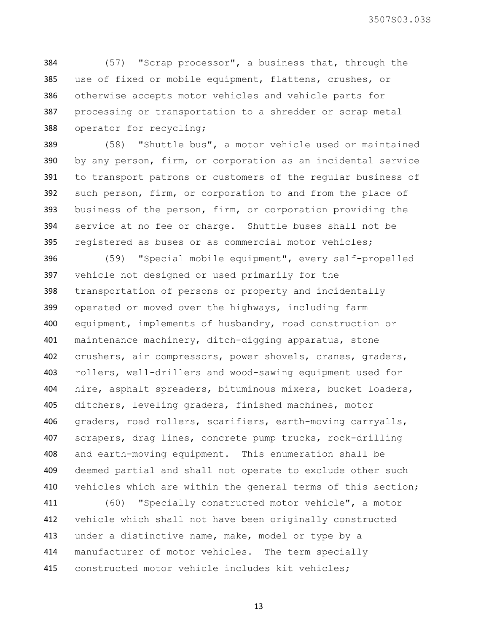(57) "Scrap processor", a business that, through the use of fixed or mobile equipment, flattens, crushes, or otherwise accepts motor vehicles and vehicle parts for processing or transportation to a shredder or scrap metal operator for recycling;

 (58) "Shuttle bus", a motor vehicle used or maintained by any person, firm, or corporation as an incidental service to transport patrons or customers of the regular business of such person, firm, or corporation to and from the place of business of the person, firm, or corporation providing the service at no fee or charge. Shuttle buses shall not be registered as buses or as commercial motor vehicles;

 (59) "Special mobile equipment", every self-propelled vehicle not designed or used primarily for the transportation of persons or property and incidentally operated or moved over the highways, including farm equipment, implements of husbandry, road construction or maintenance machinery, ditch-digging apparatus, stone crushers, air compressors, power shovels, cranes, graders, rollers, well-drillers and wood-sawing equipment used for hire, asphalt spreaders, bituminous mixers, bucket loaders, ditchers, leveling graders, finished machines, motor graders, road rollers, scarifiers, earth-moving carryalls, scrapers, drag lines, concrete pump trucks, rock-drilling and earth-moving equipment. This enumeration shall be deemed partial and shall not operate to exclude other such 410 vehicles which are within the general terms of this section;

 (60) "Specially constructed motor vehicle", a motor vehicle which shall not have been originally constructed under a distinctive name, make, model or type by a manufacturer of motor vehicles. The term specially constructed motor vehicle includes kit vehicles;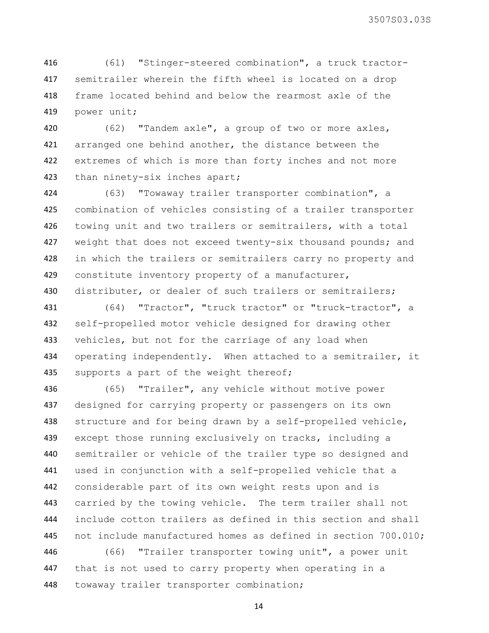(61) "Stinger-steered combination", a truck tractor- semitrailer wherein the fifth wheel is located on a drop frame located behind and below the rearmost axle of the power unit;

 (62) "Tandem axle", a group of two or more axles, 421 arranged one behind another, the distance between the extremes of which is more than forty inches and not more than ninety-six inches apart;

 (63) "Towaway trailer transporter combination", a combination of vehicles consisting of a trailer transporter towing unit and two trailers or semitrailers, with a total 427 weight that does not exceed twenty-six thousand pounds; and 428 in which the trailers or semitrailers carry no property and constitute inventory property of a manufacturer, 430 distributer, or dealer of such trailers or semitrailers;

 (64) "Tractor", "truck tractor" or "truck-tractor", a self-propelled motor vehicle designed for drawing other 433 vehicles, but not for the carriage of any load when 434 operating independently. When attached to a semitrailer, it 435 supports a part of the weight thereof;

 (65) "Trailer", any vehicle without motive power designed for carrying property or passengers on its own 438 structure and for being drawn by a self-propelled vehicle, 439 except those running exclusively on tracks, including a semitrailer or vehicle of the trailer type so designed and used in conjunction with a self-propelled vehicle that a considerable part of its own weight rests upon and is carried by the towing vehicle. The term trailer shall not include cotton trailers as defined in this section and shall not include manufactured homes as defined in section 700.010;

 (66) "Trailer transporter towing unit", a power unit that is not used to carry property when operating in a towaway trailer transporter combination;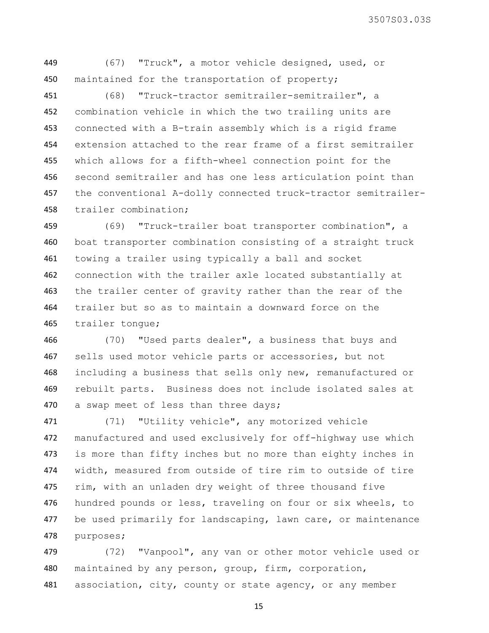(67) "Truck", a motor vehicle designed, used, or 450 maintained for the transportation of property;

 (68) "Truck-tractor semitrailer-semitrailer", a combination vehicle in which the two trailing units are connected with a B-train assembly which is a rigid frame extension attached to the rear frame of a first semitrailer which allows for a fifth-wheel connection point for the second semitrailer and has one less articulation point than the conventional A-dolly connected truck-tractor semitrailer-trailer combination;

 (69) "Truck-trailer boat transporter combination", a boat transporter combination consisting of a straight truck towing a trailer using typically a ball and socket connection with the trailer axle located substantially at the trailer center of gravity rather than the rear of the trailer but so as to maintain a downward force on the trailer tongue;

 (70) "Used parts dealer", a business that buys and 467 sells used motor vehicle parts or accessories, but not including a business that sells only new, remanufactured or rebuilt parts. Business does not include isolated sales at 470 a swap meet of less than three days;

 (71) "Utility vehicle", any motorized vehicle manufactured and used exclusively for off-highway use which 473 is more than fifty inches but no more than eighty inches in width, measured from outside of tire rim to outside of tire rim, with an unladen dry weight of three thousand five 476 hundred pounds or less, traveling on four or six wheels, to be used primarily for landscaping, lawn care, or maintenance purposes;

 (72) "Vanpool", any van or other motor vehicle used or maintained by any person, group, firm, corporation, 481 association, city, county or state agency, or any member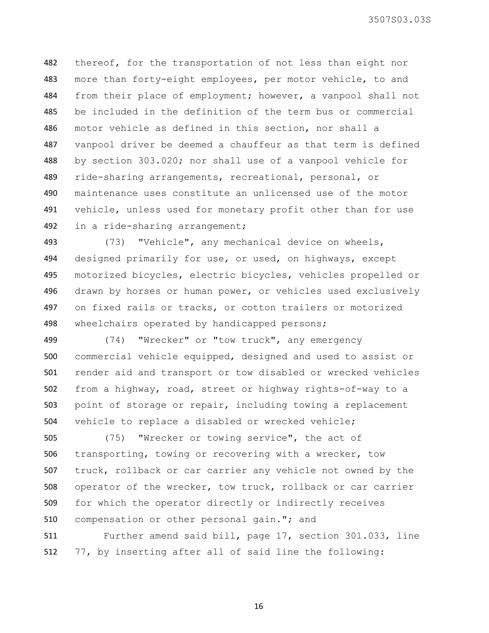thereof, for the transportation of not less than eight nor 483 more than forty-eight employees, per motor vehicle, to and from their place of employment; however, a vanpool shall not be included in the definition of the term bus or commercial motor vehicle as defined in this section, nor shall a vanpool driver be deemed a chauffeur as that term is defined by section 303.020; nor shall use of a vanpool vehicle for ride-sharing arrangements, recreational, personal, or maintenance uses constitute an unlicensed use of the motor vehicle, unless used for monetary profit other than for use in a ride-sharing arrangement;

 (73) "Vehicle", any mechanical device on wheels, designed primarily for use, or used, on highways, except motorized bicycles, electric bicycles, vehicles propelled or drawn by horses or human power, or vehicles used exclusively on fixed rails or tracks, or cotton trailers or motorized 498 wheelchairs operated by handicapped persons;

 (74) "Wrecker" or "tow truck", any emergency commercial vehicle equipped, designed and used to assist or render aid and transport or tow disabled or wrecked vehicles from a highway, road, street or highway rights-of-way to a point of storage or repair, including towing a replacement vehicle to replace a disabled or wrecked vehicle;

 (75) "Wrecker or towing service", the act of transporting, towing or recovering with a wrecker, tow truck, rollback or car carrier any vehicle not owned by the operator of the wrecker, tow truck, rollback or car carrier for which the operator directly or indirectly receives compensation or other personal gain."; and

 Further amend said bill, page 17, section 301.033, line 77, by inserting after all of said line the following: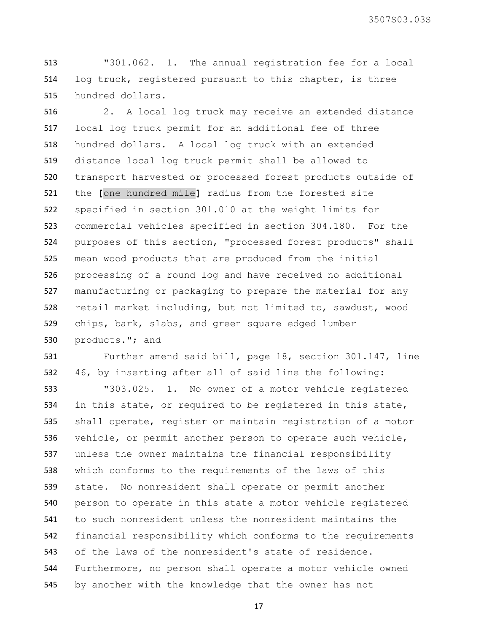"301.062. 1. The annual registration fee for a local log truck, registered pursuant to this chapter, is three hundred dollars.

 2. A local log truck may receive an extended distance local log truck permit for an additional fee of three hundred dollars. A local log truck with an extended distance local log truck permit shall be allowed to transport harvested or processed forest products outside of the **[**one hundred mile**]** radius from the forested site specified in section 301.010 at the weight limits for commercial vehicles specified in section 304.180. For the purposes of this section, "processed forest products" shall mean wood products that are produced from the initial processing of a round log and have received no additional manufacturing or packaging to prepare the material for any retail market including, but not limited to, sawdust, wood chips, bark, slabs, and green square edged lumber products."; and

 Further amend said bill, page 18, section 301.147, line 46, by inserting after all of said line the following:

 "303.025. 1. No owner of a motor vehicle registered in this state, or required to be registered in this state, shall operate, register or maintain registration of a motor vehicle, or permit another person to operate such vehicle, unless the owner maintains the financial responsibility which conforms to the requirements of the laws of this state. No nonresident shall operate or permit another person to operate in this state a motor vehicle registered to such nonresident unless the nonresident maintains the financial responsibility which conforms to the requirements of the laws of the nonresident's state of residence. Furthermore, no person shall operate a motor vehicle owned by another with the knowledge that the owner has not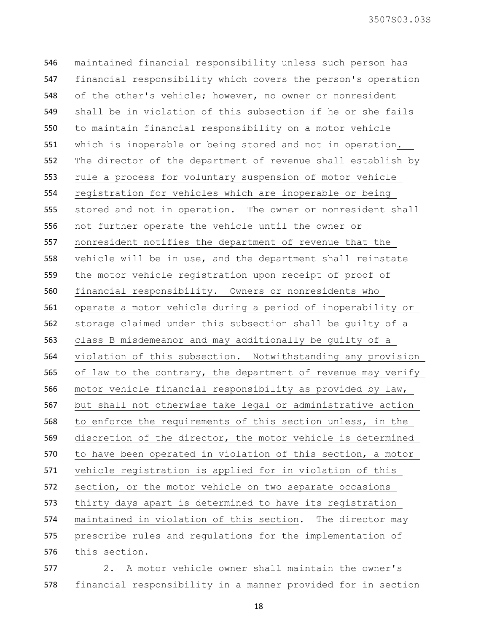maintained financial responsibility unless such person has financial responsibility which covers the person's operation of the other's vehicle; however, no owner or nonresident shall be in violation of this subsection if he or she fails to maintain financial responsibility on a motor vehicle which is inoperable or being stored and not in operation. The director of the department of revenue shall establish by rule a process for voluntary suspension of motor vehicle registration for vehicles which are inoperable or being stored and not in operation. The owner or nonresident shall not further operate the vehicle until the owner or nonresident notifies the department of revenue that the vehicle will be in use, and the department shall reinstate the motor vehicle registration upon receipt of proof of financial responsibility. Owners or nonresidents who operate a motor vehicle during a period of inoperability or storage claimed under this subsection shall be guilty of a class B misdemeanor and may additionally be guilty of a violation of this subsection. Notwithstanding any provision 565 of law to the contrary, the department of revenue may verify motor vehicle financial responsibility as provided by law, but shall not otherwise take legal or administrative action to enforce the requirements of this section unless, in the discretion of the director, the motor vehicle is determined to have been operated in violation of this section, a motor vehicle registration is applied for in violation of this section, or the motor vehicle on two separate occasions thirty days apart is determined to have its registration maintained in violation of this section. The director may prescribe rules and regulations for the implementation of this section.

 2. A motor vehicle owner shall maintain the owner's financial responsibility in a manner provided for in section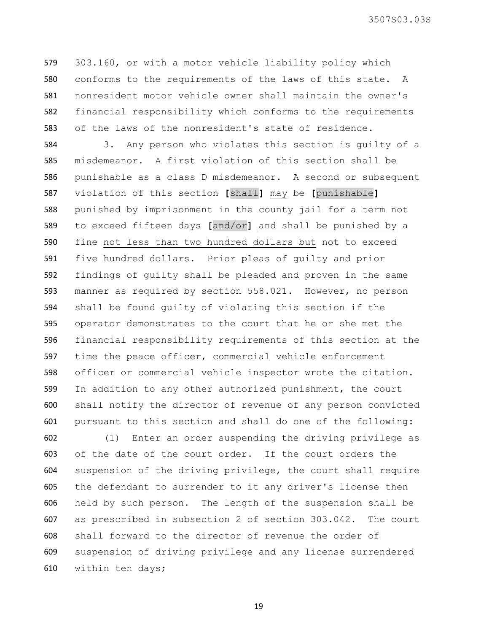303.160, or with a motor vehicle liability policy which conforms to the requirements of the laws of this state. A nonresident motor vehicle owner shall maintain the owner's financial responsibility which conforms to the requirements of the laws of the nonresident's state of residence.

 3. Any person who violates this section is guilty of a misdemeanor. A first violation of this section shall be punishable as a class D misdemeanor. A second or subsequent violation of this section **[**shall**]** may be **[**punishable**]** punished by imprisonment in the county jail for a term not to exceed fifteen days **[**and/or**]** and shall be punished by a fine not less than two hundred dollars but not to exceed five hundred dollars. Prior pleas of guilty and prior findings of guilty shall be pleaded and proven in the same manner as required by section 558.021. However, no person shall be found guilty of violating this section if the operator demonstrates to the court that he or she met the financial responsibility requirements of this section at the time the peace officer, commercial vehicle enforcement officer or commercial vehicle inspector wrote the citation. In addition to any other authorized punishment, the court shall notify the director of revenue of any person convicted pursuant to this section and shall do one of the following:

 (1) Enter an order suspending the driving privilege as of the date of the court order. If the court orders the suspension of the driving privilege, the court shall require the defendant to surrender to it any driver's license then held by such person. The length of the suspension shall be as prescribed in subsection 2 of section 303.042. The court shall forward to the director of revenue the order of suspension of driving privilege and any license surrendered within ten days;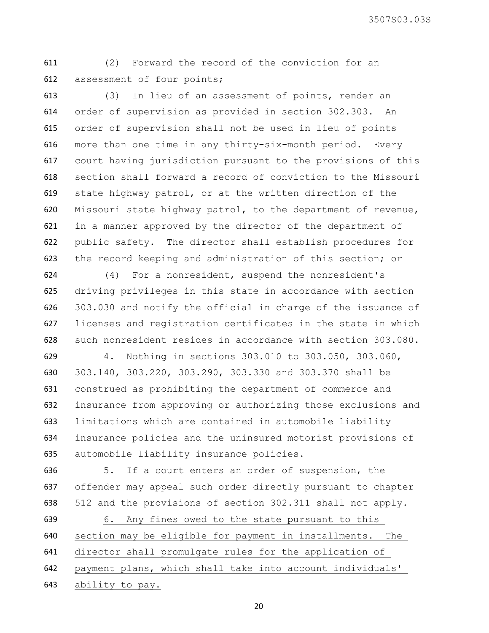(2) Forward the record of the conviction for an assessment of four points;

 (3) In lieu of an assessment of points, render an order of supervision as provided in section 302.303. An order of supervision shall not be used in lieu of points more than one time in any thirty-six-month period. Every court having jurisdiction pursuant to the provisions of this section shall forward a record of conviction to the Missouri state highway patrol, or at the written direction of the Missouri state highway patrol, to the department of revenue, in a manner approved by the director of the department of public safety. The director shall establish procedures for the record keeping and administration of this section; or

 (4) For a nonresident, suspend the nonresident's driving privileges in this state in accordance with section 303.030 and notify the official in charge of the issuance of licenses and registration certificates in the state in which such nonresident resides in accordance with section 303.080.

 4. Nothing in sections 303.010 to 303.050, 303.060, 303.140, 303.220, 303.290, 303.330 and 303.370 shall be construed as prohibiting the department of commerce and insurance from approving or authorizing those exclusions and limitations which are contained in automobile liability insurance policies and the uninsured motorist provisions of automobile liability insurance policies.

 5. If a court enters an order of suspension, the offender may appeal such order directly pursuant to chapter 512 and the provisions of section 302.311 shall not apply.

 6. Any fines owed to the state pursuant to this section may be eligible for payment in installments. The director shall promulgate rules for the application of payment plans, which shall take into account individuals' ability to pay.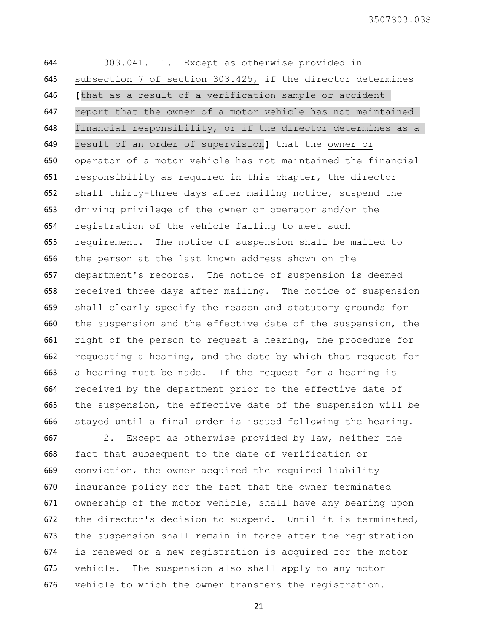303.041. 1. Except as otherwise provided in subsection 7 of section 303.425, if the director determines **[**that as a result of a verification sample or accident report that the owner of a motor vehicle has not maintained financial responsibility, or if the director determines as a result of an order of supervision**]** that the owner or operator of a motor vehicle has not maintained the financial responsibility as required in this chapter, the director shall thirty-three days after mailing notice, suspend the driving privilege of the owner or operator and/or the registration of the vehicle failing to meet such requirement. The notice of suspension shall be mailed to the person at the last known address shown on the department's records. The notice of suspension is deemed received three days after mailing. The notice of suspension shall clearly specify the reason and statutory grounds for the suspension and the effective date of the suspension, the right of the person to request a hearing, the procedure for requesting a hearing, and the date by which that request for a hearing must be made. If the request for a hearing is received by the department prior to the effective date of the suspension, the effective date of the suspension will be stayed until a final order is issued following the hearing.

 2. Except as otherwise provided by law, neither the fact that subsequent to the date of verification or conviction, the owner acquired the required liability insurance policy nor the fact that the owner terminated ownership of the motor vehicle, shall have any bearing upon the director's decision to suspend. Until it is terminated, the suspension shall remain in force after the registration is renewed or a new registration is acquired for the motor vehicle. The suspension also shall apply to any motor vehicle to which the owner transfers the registration.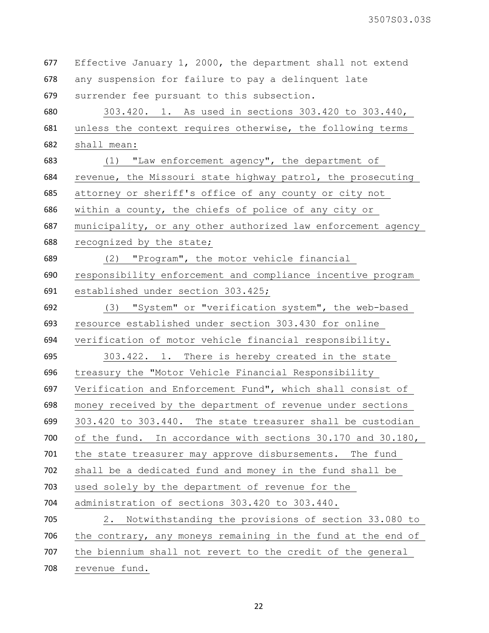| 677 | Effective January 1, 2000, the department shall not extend     |
|-----|----------------------------------------------------------------|
| 678 | any suspension for failure to pay a delinquent late            |
| 679 | surrender fee pursuant to this subsection.                     |
| 680 | 303.420. 1. As used in sections 303.420 to 303.440,            |
| 681 | unless the context requires otherwise, the following terms     |
| 682 | shall mean:                                                    |
| 683 | (1) "Law enforcement agency", the department of                |
| 684 | revenue, the Missouri state highway patrol, the prosecuting    |
| 685 | attorney or sheriff's office of any county or city not         |
| 686 | within a county, the chiefs of police of any city or           |
| 687 | municipality, or any other authorized law enforcement agency   |
| 688 | recognized by the state;                                       |
| 689 | (2) "Program", the motor vehicle financial                     |
| 690 | responsibility enforcement and compliance incentive program    |
| 691 | established under section 303.425;                             |
| 692 | (3) "System" or "verification system", the web-based           |
| 693 | resource established under section 303.430 for online          |
| 694 | verification of motor vehicle financial responsibility.        |
| 695 | 303.422. 1. There is hereby created in the state               |
| 696 | treasury the "Motor Vehicle Financial Responsibility           |
| 697 | Verification and Enforcement Fund", which shall consist of     |
| 698 | money received by the department of revenue under sections     |
| 699 | 303.420 to 303.440. The state treasurer shall be custodian     |
| 700 | of the fund.<br>In accordance with sections 30.170 and 30.180, |
| 701 | the state treasurer may approve disbursements. The fund        |
| 702 | shall be a dedicated fund and money in the fund shall be       |
| 703 | used solely by the department of revenue for the               |
| 704 | administration of sections 303.420 to 303.440.                 |
| 705 | Notwithstanding the provisions of section 33.080 to<br>2.      |
| 706 | the contrary, any moneys remaining in the fund at the end of   |
| 707 | the biennium shall not revert to the credit of the general     |
| 708 | revenue fund.                                                  |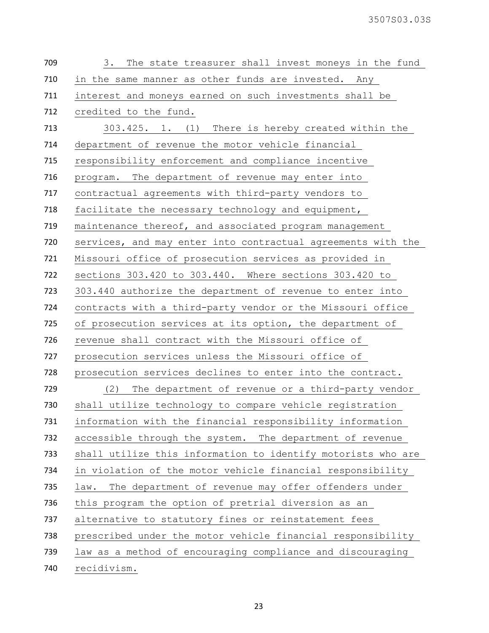| 709 | The state treasurer shall invest moneys in the fund<br>3.    |
|-----|--------------------------------------------------------------|
| 710 | in the same manner as other funds are invested. Any          |
| 711 | interest and moneys earned on such investments shall be      |
| 712 | credited to the fund.                                        |
| 713 | 303.425. 1. (1) There is hereby created within the           |
| 714 | department of revenue the motor vehicle financial            |
| 715 | responsibility enforcement and compliance incentive          |
| 716 | The department of revenue may enter into<br>program.         |
| 717 | contractual agreements with third-party vendors to           |
| 718 | facilitate the necessary technology and equipment,           |
| 719 | maintenance thereof, and associated program management       |
| 720 | services, and may enter into contractual agreements with the |
| 721 | Missouri office of prosecution services as provided in       |
| 722 | sections 303.420 to 303.440. Where sections 303.420 to       |
| 723 | 303.440 authorize the department of revenue to enter into    |
| 724 | contracts with a third-party vendor or the Missouri office   |
| 725 | of prosecution services at its option, the department of     |
| 726 | revenue shall contract with the Missouri office of           |
| 727 | prosecution services unless the Missouri office of           |
| 728 | prosecution services declines to enter into the contract.    |
| 729 | (2)<br>The department of revenue or a third-party vendor     |
|     |                                                              |
| 730 | shall utilize technology to compare vehicle registration     |
| 731 | information with the financial responsibility information    |
| 732 | accessible through the system. The department of revenue     |
| 733 | shall utilize this information to identify motorists who are |
| 734 | in violation of the motor vehicle financial responsibility   |
| 735 | The department of revenue may offer offenders under<br>law.  |
| 736 | this program the option of pretrial diversion as an          |
| 737 | alternative to statutory fines or reinstatement fees         |
| 738 | prescribed under the motor vehicle financial responsibility  |
| 739 | law as a method of encouraging compliance and discouraging   |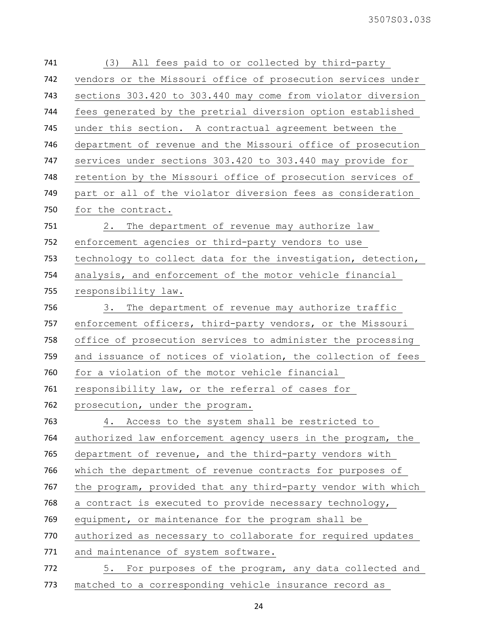| 741 | All fees paid to or collected by third-party<br>(3)          |
|-----|--------------------------------------------------------------|
| 742 | vendors or the Missouri office of prosecution services under |
| 743 | sections 303.420 to 303.440 may come from violator diversion |
| 744 | fees generated by the pretrial diversion option established  |
| 745 | under this section. A contractual agreement between the      |
| 746 | department of revenue and the Missouri office of prosecution |
| 747 | services under sections 303.420 to 303.440 may provide for   |
| 748 | retention by the Missouri office of prosecution services of  |
| 749 | part or all of the violator diversion fees as consideration  |
| 750 | for the contract.                                            |
| 751 | 2. The department of revenue may authorize law               |
| 752 | enforcement agencies or third-party vendors to use           |
| 753 | technology to collect data for the investigation, detection, |
| 754 | analysis, and enforcement of the motor vehicle financial     |
| 755 | responsibility law.                                          |
| 756 | 3. The department of revenue may authorize traffic           |
| 757 | enforcement officers, third-party vendors, or the Missouri   |
| 758 | office of prosecution services to administer the processing  |
| 759 | and issuance of notices of violation, the collection of fees |
| 760 | for a violation of the motor vehicle financial               |
| 761 | responsibility law, or the referral of cases for             |
| 762 | prosecution, under the program.                              |
| 763 | Access to the system shall be restricted to<br>4.            |
| 764 | authorized law enforcement agency users in the program, the  |
| 765 | department of revenue, and the third-party vendors with      |
| 766 | which the department of revenue contracts for purposes of    |
| 767 | the program, provided that any third-party vendor with which |
| 768 | a contract is executed to provide necessary technology,      |
| 769 | equipment, or maintenance for the program shall be           |
| 770 | authorized as necessary to collaborate for required updates  |
| 771 | and maintenance of system software.                          |
| 772 | 5. For purposes of the program, any data collected and       |
| 773 | matched to a corresponding vehicle insurance record as       |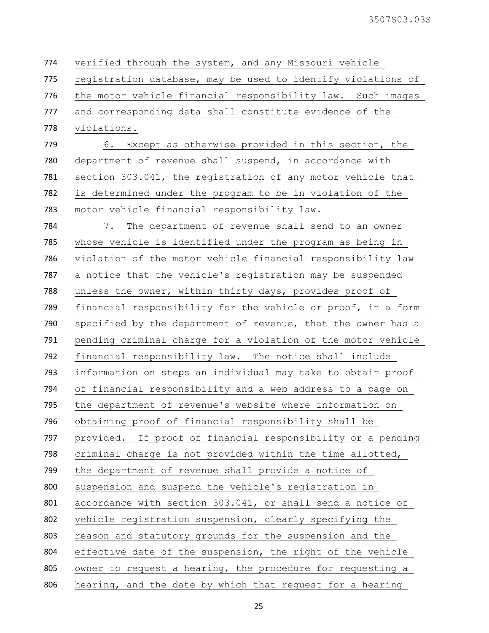verified through the system, and any Missouri vehicle 775 registration database, may be used to identify violations of the motor vehicle financial responsibility law. Such images and corresponding data shall constitute evidence of the violations. 6. Except as otherwise provided in this section, the department of revenue shall suspend, in accordance with section 303.041, the registration of any motor vehicle that is determined under the program to be in violation of the motor vehicle financial responsibility law. 7. The department of revenue shall send to an owner whose vehicle is identified under the program as being in violation of the motor vehicle financial responsibility law a notice that the vehicle's registration may be suspended unless the owner, within thirty days, provides proof of financial responsibility for the vehicle or proof, in a form specified by the department of revenue, that the owner has a pending criminal charge for a violation of the motor vehicle financial responsibility law. The notice shall include information on steps an individual may take to obtain proof of financial responsibility and a web address to a page on the department of revenue's website where information on obtaining proof of financial responsibility shall be provided. If proof of financial responsibility or a pending criminal charge is not provided within the time allotted, the department of revenue shall provide a notice of suspension and suspend the vehicle's registration in accordance with section 303.041, or shall send a notice of vehicle registration suspension, clearly specifying the reason and statutory grounds for the suspension and the effective date of the suspension, the right of the vehicle owner to request a hearing, the procedure for requesting a hearing, and the date by which that request for a hearing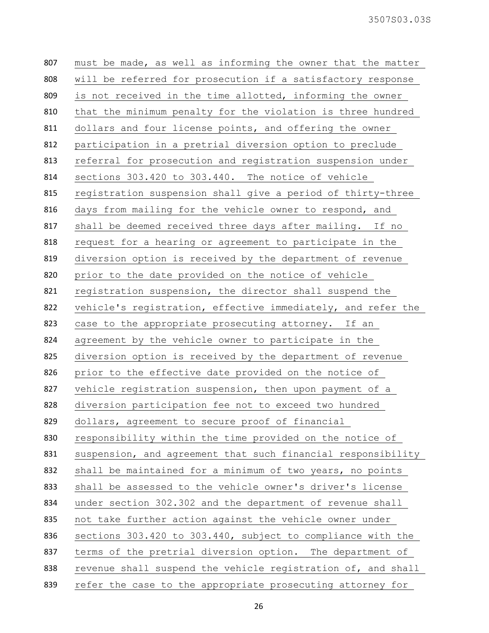| 807 | must be made, as well as informing the owner that the matter |
|-----|--------------------------------------------------------------|
| 808 | will be referred for prosecution if a satisfactory response  |
| 809 | is not received in the time allotted, informing the owner    |
| 810 | that the minimum penalty for the violation is three hundred  |
| 811 | dollars and four license points, and offering the owner      |
| 812 | participation in a pretrial diversion option to preclude     |
| 813 | referral for prosecution and registration suspension under   |
| 814 | sections 303.420 to 303.440. The notice of vehicle           |
| 815 | registration suspension shall give a period of thirty-three  |
| 816 | days from mailing for the vehicle owner to respond, and      |
| 817 | shall be deemed received three days after mailing. If no     |
| 818 | request for a hearing or agreement to participate in the     |
| 819 | diversion option is received by the department of revenue    |
| 820 | prior to the date provided on the notice of vehicle          |
| 821 | registration suspension, the director shall suspend the      |
| 822 | vehicle's registration, effective immediately, and refer the |
| 823 | case to the appropriate prosecuting attorney. If an          |
| 824 | agreement by the vehicle owner to participate in the         |
| 825 | diversion option is received by the department of revenue    |
| 826 | prior to the effective date provided on the notice of        |
| 827 | vehicle registration suspension, then upon payment of a      |
| 828 | diversion participation fee not to exceed two hundred        |
| 829 | dollars, agreement to secure proof of financial              |
| 830 | responsibility within the time provided on the notice of     |
| 831 | suspension, and agreement that such financial responsibility |
| 832 | shall be maintained for a minimum of two years, no points    |
| 833 | shall be assessed to the vehicle owner's driver's license    |
| 834 | under section 302.302 and the department of revenue shall    |
| 835 | not take further action against the vehicle owner under      |
| 836 | sections 303.420 to 303.440, subject to compliance with the  |
| 837 | terms of the pretrial diversion option. The department of    |
| 838 | revenue shall suspend the vehicle registration of, and shall |
| 839 | refer the case to the appropriate prosecuting attorney for   |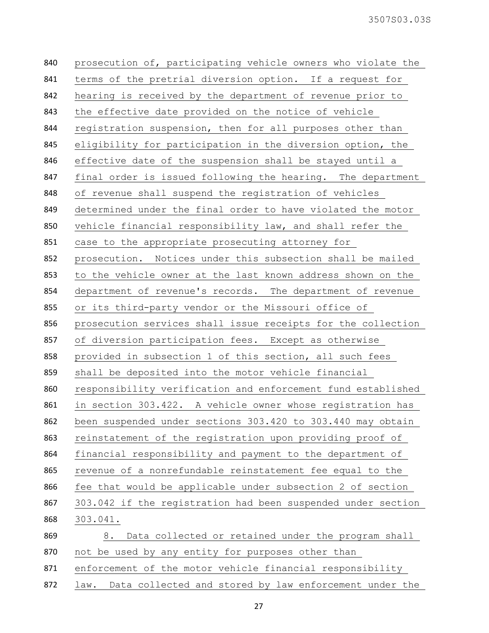| 840 | prosecution of, participating vehicle owners who violate the   |
|-----|----------------------------------------------------------------|
| 841 | terms of the pretrial diversion option. If a request for       |
| 842 | hearing is received by the department of revenue prior to      |
| 843 | the effective date provided on the notice of vehicle           |
| 844 | registration suspension, then for all purposes other than      |
| 845 | eligibility for participation in the diversion option, the     |
| 846 | effective date of the suspension shall be stayed until a       |
| 847 | final order is issued following the hearing. The department    |
| 848 | of revenue shall suspend the registration of vehicles          |
| 849 | determined under the final order to have violated the motor    |
| 850 | vehicle financial responsibility law, and shall refer the      |
| 851 | case to the appropriate prosecuting attorney for               |
| 852 | prosecution. Notices under this subsection shall be mailed     |
| 853 | to the vehicle owner at the last known address shown on the    |
| 854 | department of revenue's records. The department of revenue     |
| 855 | or its third-party vendor or the Missouri office of            |
| 856 | prosecution services shall issue receipts for the collection   |
| 857 | of diversion participation fees. Except as otherwise           |
| 858 | provided in subsection 1 of this section, all such fees        |
| 859 | shall be deposited into the motor vehicle financial            |
| 860 | responsibility verification and enforcement fund established   |
| 861 | in section 303.422. A vehicle owner whose registration has     |
| 862 | been suspended under sections 303.420 to 303.440 may obtain    |
| 863 | reinstatement of the registration upon providing proof of      |
| 864 | financial responsibility and payment to the department of      |
| 865 | revenue of a nonrefundable reinstatement fee equal to the      |
| 866 | fee that would be applicable under subsection 2 of section     |
| 867 | 303.042 if the registration had been suspended under section   |
| 868 | 303.041.                                                       |
| 869 | Data collected or retained under the program shall<br>8.       |
| 870 | not be used by any entity for purposes other than              |
| 871 | enforcement of the motor vehicle financial responsibility      |
| 872 | Data collected and stored by law enforcement under the<br>law. |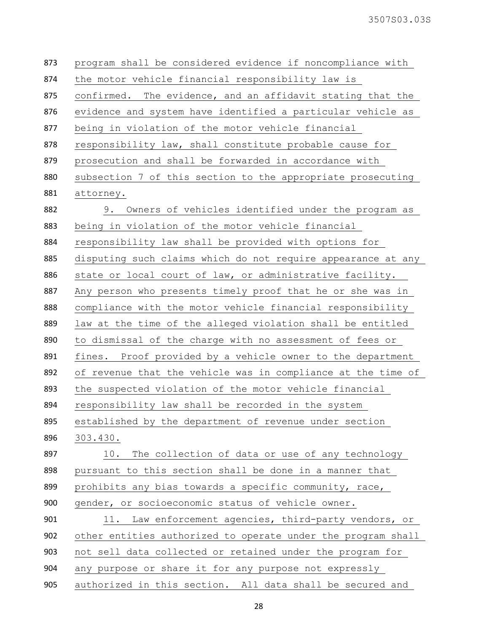| 873 | program shall be considered evidence if noncompliance with    |
|-----|---------------------------------------------------------------|
| 874 | the motor vehicle financial responsibility law is             |
| 875 | The evidence, and an affidavit stating that the<br>confirmed. |
| 876 | evidence and system have identified a particular vehicle as   |
| 877 | being in violation of the motor vehicle financial             |
| 878 | responsibility law, shall constitute probable cause for       |
| 879 | prosecution and shall be forwarded in accordance with         |
| 880 | subsection 7 of this section to the appropriate prosecuting   |
| 881 | attorney.                                                     |
| 882 | 9. Owners of vehicles identified under the program as         |
| 883 | being in violation of the motor vehicle financial             |
| 884 | responsibility law shall be provided with options for         |
| 885 | disputing such claims which do not require appearance at any  |
| 886 | state or local court of law, or administrative facility.      |
| 887 | Any person who presents timely proof that he or she was in    |
| 888 | compliance with the motor vehicle financial responsibility    |
| 889 | law at the time of the alleged violation shall be entitled    |
| 890 | to dismissal of the charge with no assessment of fees or      |
| 891 | Proof provided by a vehicle owner to the department<br>fines. |
| 892 | of revenue that the vehicle was in compliance at the time of  |
| 893 | the suspected violation of the motor vehicle financial        |
| 894 | responsibility law shall be recorded in the system            |
| 895 | established by the department of revenue under section        |
| 896 | 303.430.                                                      |
| 897 | The collection of data or use of any technology<br>10.        |
| 898 | pursuant to this section shall be done in a manner that       |
| 899 | prohibits any bias towards a specific community, race,        |
| 900 | gender, or socioeconomic status of vehicle owner.             |
| 901 | 11. Law enforcement agencies, third-party vendors, or         |
| 902 | other entities authorized to operate under the program shall  |
| 903 | not sell data collected or retained under the program for     |
| 904 | any purpose or share it for any purpose not expressly         |
| 905 | authorized in this section. All data shall be secured and     |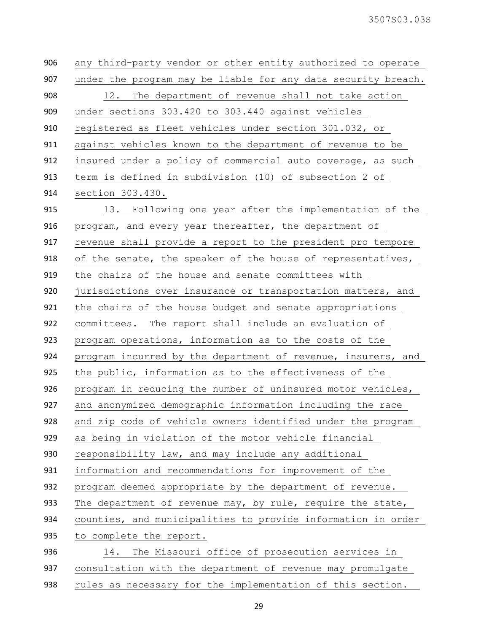any third-party vendor or other entity authorized to operate under the program may be liable for any data security breach. 12. The department of revenue shall not take action under sections 303.420 to 303.440 against vehicles registered as fleet vehicles under section 301.032, or against vehicles known to the department of revenue to be 912 insured under a policy of commercial auto coverage, as such term is defined in subdivision (10) of subsection 2 of section 303.430. 13. Following one year after the implementation of the program, and every year thereafter, the department of revenue shall provide a report to the president pro tempore 918 of the senate, the speaker of the house of representatives, the chairs of the house and senate committees with 920 jurisdictions over insurance or transportation matters, and the chairs of the house budget and senate appropriations committees. The report shall include an evaluation of program operations, information as to the costs of the program incurred by the department of revenue, insurers, and the public, information as to the effectiveness of the program in reducing the number of uninsured motor vehicles, and anonymized demographic information including the race and zip code of vehicle owners identified under the program as being in violation of the motor vehicle financial 930 responsibility law, and may include any additional information and recommendations for improvement of the program deemed appropriate by the department of revenue. 933 The department of revenue may, by rule, require the state, counties, and municipalities to provide information in order 935 to complete the report. 14. The Missouri office of prosecution services in consultation with the department of revenue may promulgate 938 rules as necessary for the implementation of this section.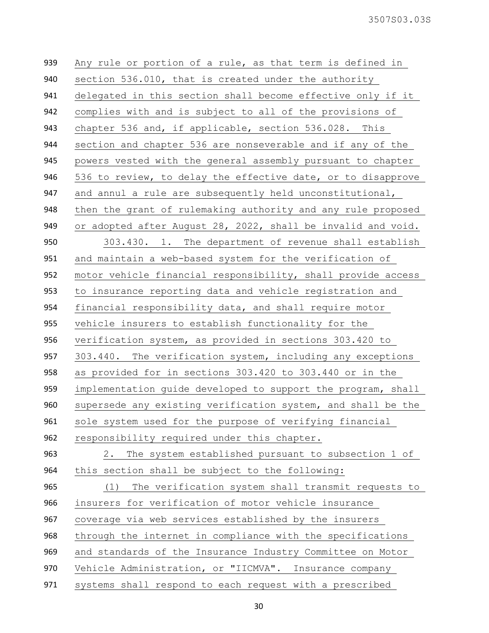| 939 | Any rule or portion of a rule, as that term is defined in    |
|-----|--------------------------------------------------------------|
| 940 | section 536.010, that is created under the authority         |
| 941 | delegated in this section shall become effective only if it  |
| 942 | complies with and is subject to all of the provisions of     |
| 943 | chapter 536 and, if applicable, section 536.028. This        |
| 944 | section and chapter 536 are nonseverable and if any of the   |
| 945 | powers vested with the general assembly pursuant to chapter  |
| 946 | 536 to review, to delay the effective date, or to disapprove |
| 947 | and annul a rule are subsequently held unconstitutional,     |
| 948 | then the grant of rulemaking authority and any rule proposed |
| 949 | or adopted after August 28, 2022, shall be invalid and void. |
| 950 | 303.430. 1. The department of revenue shall establish        |
| 951 | and maintain a web-based system for the verification of      |
| 952 | motor vehicle financial responsibility, shall provide access |
| 953 | to insurance reporting data and vehicle registration and     |
| 954 | financial responsibility data, and shall require motor       |
| 955 | vehicle insurers to establish functionality for the          |
| 956 | verification system, as provided in sections 303.420 to      |
| 957 | 303.440. The verification system, including any exceptions   |
| 958 | as provided for in sections 303.420 to 303.440 or in the     |
| 959 | implementation guide developed to support the program, shall |
| 960 | supersede any existing verification system, and shall be the |
| 961 | sole system used for the purpose of verifying financial      |
| 962 | responsibility required under this chapter.                  |
| 963 | The system established pursuant to subsection 1 of<br>2.     |
| 964 | this section shall be subject to the following:              |
| 965 | The verification system shall transmit requests to<br>(1)    |
| 966 | insurers for verification of motor vehicle insurance         |
| 967 | coverage via web services established by the insurers        |
| 968 | through the internet in compliance with the specifications   |
| 969 | and standards of the Insurance Industry Committee on Motor   |
| 970 | Vehicle Administration, or "IICMVA". Insurance company       |
| 971 | systems shall respond to each request with a prescribed      |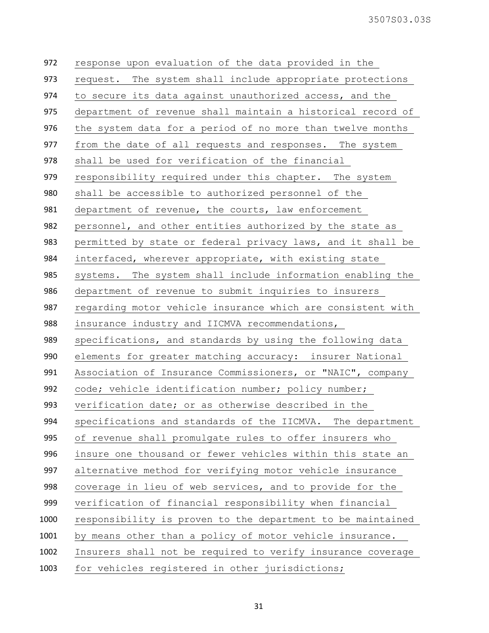| 972  | response upon evaluation of the data provided in the          |
|------|---------------------------------------------------------------|
| 973  | request. The system shall include appropriate protections     |
| 974  | to secure its data against unauthorized access, and the       |
| 975  | department of revenue shall maintain a historical record of   |
| 976  | the system data for a period of no more than twelve months    |
| 977  | from the date of all requests and responses. The system       |
| 978  | shall be used for verification of the financial               |
| 979  | responsibility required under this chapter. The system        |
| 980  | shall be accessible to authorized personnel of the            |
| 981  | department of revenue, the courts, law enforcement            |
| 982  | personnel, and other entities authorized by the state as      |
| 983  | permitted by state or federal privacy laws, and it shall be   |
| 984  | interfaced, wherever appropriate, with existing state         |
| 985  | systems. The system shall include information enabling the    |
| 986  | department of revenue to submit inquiries to insurers         |
| 987  | regarding motor vehicle insurance which are consistent with   |
|      |                                                               |
| 988  | insurance industry and IICMVA recommendations,                |
| 989  | specifications, and standards by using the following data     |
| 990  | elements for greater matching accuracy: insurer National      |
| 991  | Association of Insurance Commissioners, or "NAIC", company    |
| 992  | code; vehicle identification number; policy number;           |
| 993  | verification date; or as otherwise described in the           |
| 994  | specifications and standards of the IICMVA.<br>The department |
| 995  | of revenue shall promulgate rules to offer insurers who       |
| 996  | insure one thousand or fewer vehicles within this state an    |
| 997  | alternative method for verifying motor vehicle insurance      |
| 998  | coverage in lieu of web services, and to provide for the      |
| 999  | verification of financial responsibility when financial       |
| 1000 | responsibility is proven to the department to be maintained   |
| 1001 | by means other than a policy of motor vehicle insurance.      |
| 1002 | Insurers shall not be required to verify insurance coverage   |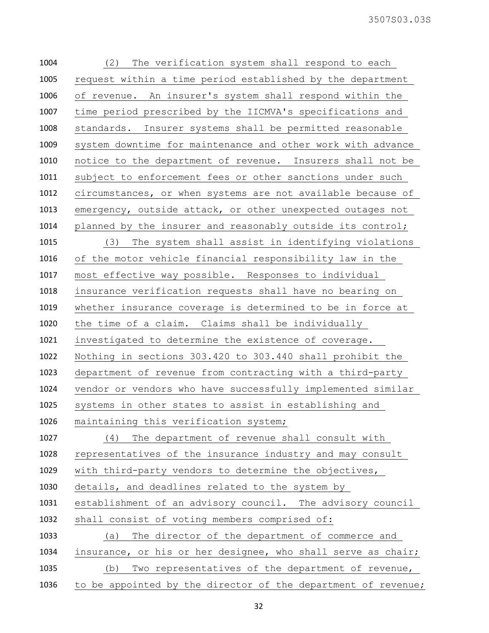| (2) | The verification system shall respond to each                 |
|-----|---------------------------------------------------------------|
|     | request within a time period established by the department    |
|     | of revenue. An insurer's system shall respond within the      |
|     | time period prescribed by the IICMVA's specifications and     |
|     | standards. Insurer systems shall be permitted reasonable      |
|     | system downtime for maintenance and other work with advance   |
|     | notice to the department of revenue. Insurers shall not be    |
|     | subject to enforcement fees or other sanctions under such     |
|     | circumstances, or when systems are not available because of   |
|     | emergency, outside attack, or other unexpected outages not    |
|     | planned by the insurer and reasonably outside its control;    |
| (3) | The system shall assist in identifying violations             |
|     | of the motor vehicle financial responsibility law in the      |
|     | most effective way possible. Responses to individual          |
|     | insurance verification requests shall have no bearing on      |
|     | whether insurance coverage is determined to be in force at    |
|     | the time of a claim. Claims shall be individually             |
|     | investigated to determine the existence of coverage.          |
|     | Nothing in sections 303.420 to 303.440 shall prohibit the     |
|     | department of revenue from contracting with a third-party     |
|     | vendor or vendors who have successfully implemented similar   |
|     | systems in other states to assist in establishing and         |
|     | maintaining this verification system;                         |
| (4) | The department of revenue shall consult with                  |
|     | representatives of the insurance industry and may consult     |
|     | with third-party vendors to determine the objectives,         |
|     | details, and deadlines related to the system by               |
|     | establishment of an advisory council. The advisory council    |
|     | shall consist of voting members comprised of:                 |
|     | (a) The director of the department of commerce and            |
|     | insurance, or his or her designee, who shall serve as chair;  |
|     | Two representatives of the department of revenue,<br>(b)      |
|     | to be appointed by the director of the department of revenue; |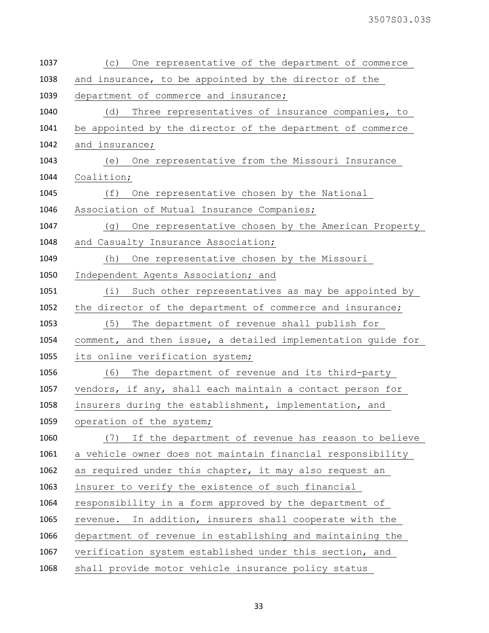| 1037 | One representative of the department of commerce<br>(C)      |
|------|--------------------------------------------------------------|
| 1038 | and insurance, to be appointed by the director of the        |
| 1039 | department of commerce and insurance;                        |
| 1040 | (d) Three representatives of insurance companies, to         |
| 1041 | be appointed by the director of the department of commerce   |
| 1042 | and insurance;                                               |
| 1043 | (e) One representative from the Missouri Insurance           |
| 1044 | Coalition;                                                   |
| 1045 | (f) One representative chosen by the National                |
| 1046 | Association of Mutual Insurance Companies;                   |
| 1047 | (g) One representative chosen by the American Property       |
| 1048 | and Casualty Insurance Association;                          |
| 1049 | (h) One representative chosen by the Missouri                |
| 1050 | Independent Agents Association; and                          |
| 1051 | (i) Such other representatives as may be appointed by        |
| 1052 | the director of the department of commerce and insurance;    |
| 1053 | (5)<br>The department of revenue shall publish for           |
| 1054 | comment, and then issue, a detailed implementation guide for |
| 1055 | its online verification system;                              |
| 1056 | (6)<br>The department of revenue and its third-party         |
| 1057 | vendors, if any, shall each maintain a contact person for    |
| 1058 | insurers during the establishment, implementation, and       |
| 1059 | operation of the system;                                     |
| 1060 | If the department of revenue has reason to believe<br>(7)    |
| 1061 | a vehicle owner does not maintain financial responsibility   |
| 1062 | as required under this chapter, it may also request an       |
| 1063 | insurer to verify the existence of such financial            |
| 1064 | responsibility in a form approved by the department of       |
| 1065 | revenue. In addition, insurers shall cooperate with the      |
| 1066 | department of revenue in establishing and maintaining the    |
| 1067 | verification system established under this section, and      |
| 1068 | shall provide motor vehicle insurance policy status          |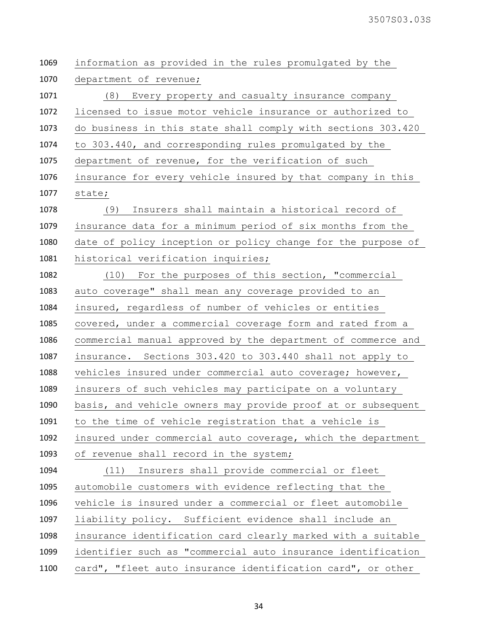| 1069 | information as provided in the rules promulgated by the      |
|------|--------------------------------------------------------------|
| 1070 | department of revenue;                                       |
| 1071 | (8) Every property and casualty insurance company            |
| 1072 | licensed to issue motor vehicle insurance or authorized to   |
| 1073 | do business in this state shall comply with sections 303.420 |
| 1074 | to 303.440, and corresponding rules promulgated by the       |
| 1075 | department of revenue, for the verification of such          |
| 1076 | insurance for every vehicle insured by that company in this  |
| 1077 | state;                                                       |
| 1078 | Insurers shall maintain a historical record of<br>(9)        |
| 1079 | insurance data for a minimum period of six months from the   |
| 1080 | date of policy inception or policy change for the purpose of |
| 1081 | historical verification inquiries;                           |
| 1082 | (10) For the purposes of this section, "commercial           |
| 1083 | auto coverage" shall mean any coverage provided to an        |
| 1084 | insured, regardless of number of vehicles or entities        |
| 1085 | covered, under a commercial coverage form and rated from a   |
| 1086 | commercial manual approved by the department of commerce and |
| 1087 | insurance. Sections 303.420 to 303.440 shall not apply to    |
| 1088 | vehicles insured under commercial auto coverage; however,    |
| 1089 | insurers of such vehicles may participate on a voluntary     |
| 1090 | basis, and vehicle owners may provide proof at or subsequent |
| 1091 | to the time of vehicle registration that a vehicle is        |
| 1092 | insured under commercial auto coverage, which the department |
| 1093 | of revenue shall record in the system;                       |
| 1094 | (11) Insurers shall provide commercial or fleet              |
| 1095 | automobile customers with evidence reflecting that the       |
| 1096 | vehicle is insured under a commercial or fleet automobile    |
| 1097 | liability policy. Sufficient evidence shall include an       |
| 1098 | insurance identification card clearly marked with a suitable |
| 1099 | identifier such as "commercial auto insurance identification |
| 1100 | card", "fleet auto insurance identification card", or other  |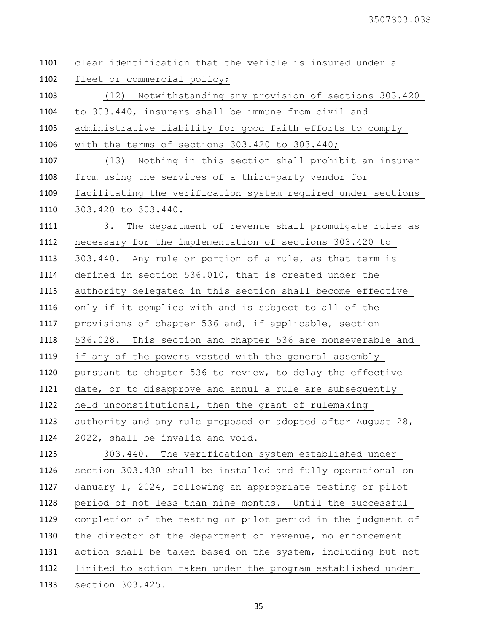| clear identification that the vehicle is insured under a     |  |
|--------------------------------------------------------------|--|
| fleet or commercial policy;                                  |  |
| (12) Notwithstanding any provision of sections 303.420       |  |
| to 303.440, insurers shall be immune from civil and          |  |
| administrative liability for good faith efforts to comply    |  |
| with the terms of sections 303.420 to 303.440;               |  |
| (13) Nothing in this section shall prohibit an insurer       |  |
| from using the services of a third-party vendor for          |  |
| facilitating the verification system required under sections |  |
| 303.420 to 303.440.                                          |  |
| 3. The department of revenue shall promulgate rules as       |  |
| necessary for the implementation of sections 303.420 to      |  |
| 303.440. Any rule or portion of a rule, as that term is      |  |
| defined in section 536.010, that is created under the        |  |
| authority delegated in this section shall become effective   |  |
| only if it complies with and is subject to all of the        |  |
| provisions of chapter 536 and, if applicable, section        |  |
| 536.028. This section and chapter 536 are nonseverable and   |  |
| if any of the powers vested with the general assembly        |  |
| pursuant to chapter 536 to review, to delay the effective    |  |
| date, or to disapprove and annul a rule are subsequently     |  |
| held unconstitutional, then the grant of rulemaking          |  |
| authority and any rule proposed or adopted after August 28,  |  |
| 2022, shall be invalid and void.                             |  |
| 303.440. The verification system established under           |  |
| section 303.430 shall be installed and fully operational on  |  |
| January 1, 2024, following an appropriate testing or pilot   |  |
| period of not less than nine months. Until the successful    |  |
| completion of the testing or pilot period in the judgment of |  |
| the director of the department of revenue, no enforcement    |  |
| action shall be taken based on the system, including but not |  |
| limited to action taken under the program established under  |  |
| section 303.425.                                             |  |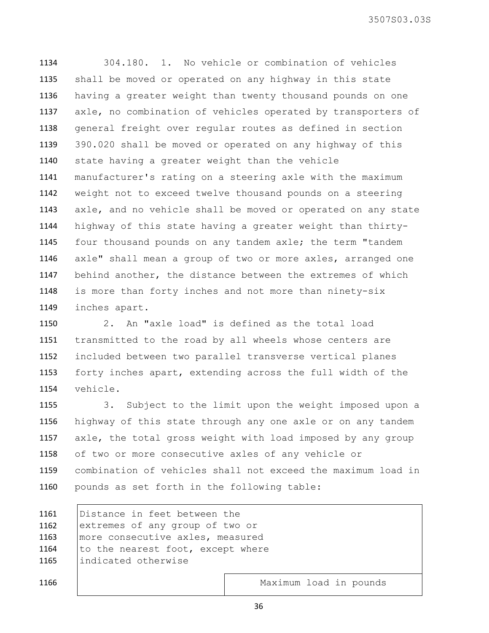304.180. 1. No vehicle or combination of vehicles shall be moved or operated on any highway in this state having a greater weight than twenty thousand pounds on one axle, no combination of vehicles operated by transporters of general freight over regular routes as defined in section 390.020 shall be moved or operated on any highway of this state having a greater weight than the vehicle manufacturer's rating on a steering axle with the maximum weight not to exceed twelve thousand pounds on a steering axle, and no vehicle shall be moved or operated on any state highway of this state having a greater weight than thirty- four thousand pounds on any tandem axle; the term "tandem axle" shall mean a group of two or more axles, arranged one behind another, the distance between the extremes of which is more than forty inches and not more than ninety-six inches apart.

 2. An "axle load" is defined as the total load transmitted to the road by all wheels whose centers are included between two parallel transverse vertical planes forty inches apart, extending across the full width of the vehicle.

 3. Subject to the limit upon the weight imposed upon a highway of this state through any one axle or on any tandem axle, the total gross weight with load imposed by any group of two or more consecutive axles of any vehicle or combination of vehicles shall not exceed the maximum load in pounds as set forth in the following table:

| 1161 | Distance in feet between the      |                        |  |  |  |
|------|-----------------------------------|------------------------|--|--|--|
| 1162 | extremes of any group of two or   |                        |  |  |  |
| 1163 | more consecutive axles, measured  |                        |  |  |  |
| 1164 | to the nearest foot, except where |                        |  |  |  |
| 1165 | indicated otherwise               |                        |  |  |  |
|      |                                   |                        |  |  |  |
| 1166 |                                   | Maximum load in pounds |  |  |  |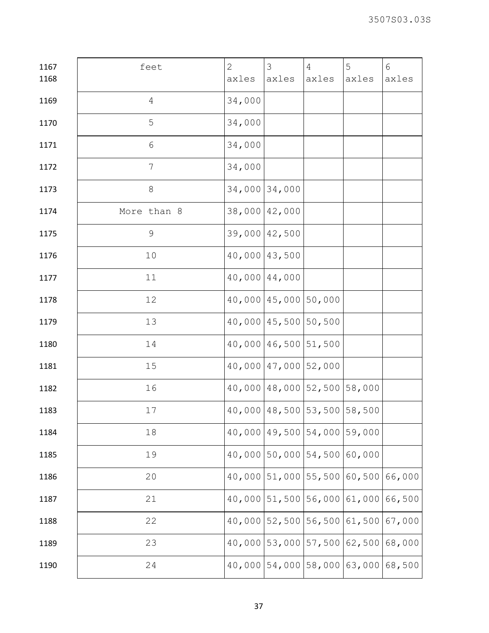| 1167 | feet            | $\overline{2}$ | $\mathfrak{Z}$                       | $\overline{4}$ | 5             | 6      |
|------|-----------------|----------------|--------------------------------------|----------------|---------------|--------|
| 1168 |                 | axles          | axles                                | axles          | axles         | axles  |
| 1169 | $\overline{4}$  | 34,000         |                                      |                |               |        |
| 1170 | 5               | 34,000         |                                      |                |               |        |
| 1171 | $6\,$           | 34,000         |                                      |                |               |        |
| 1172 | $7\phantom{.0}$ | 34,000         |                                      |                |               |        |
| 1173 | $8\,$           | 34,000 34,000  |                                      |                |               |        |
| 1174 | More than 8     | 38,000 42,000  |                                      |                |               |        |
| 1175 | $\mathsf 9$     | 39,000 42,500  |                                      |                |               |        |
| 1176 | 10              | 40,000 43,500  |                                      |                |               |        |
| 1177 | 11              | 40,000 44,000  |                                      |                |               |        |
| 1178 | 12              |                | 40,000   45,000   50,000             |                |               |        |
| 1179 | 13              |                | 40,000 45,500 50,500                 |                |               |        |
| 1180 | 14              |                | 40,000 46,500 51,500                 |                |               |        |
| 1181 | 15              |                | $40,000$ $ 47,000$ $ 52,000$         |                |               |        |
| 1182 | 16              |                | $40,000$ $48,000$ $52,500$ $58,000$  |                |               |        |
| 1183 | 17              |                | $40,000$ $48,500$ $53,500$ $58,500$  |                |               |        |
| 1184 | 18              |                | 40,000 49,500 54,000                 |                | 59,000        |        |
| 1185 | 19              |                | $40,000$ 50,000 54,500               |                | 60,000        |        |
| 1186 | 20              | 40,000         | $51,000$ 55,500                      |                | 60,500        | 66,000 |
| 1187 | 21              |                | $40,000$ 51,500 56,000 61,000 66,500 |                |               |        |
| 1188 | 22              |                | $40,000$   52,500   56,500           |                | 61,500        | 67,000 |
| 1189 | 23              |                | 40,000 53,000 57,500                 |                | 62,500 68,000 |        |
| 1190 | 24              |                | $40,000$ 54,000 58,000 63,000 68,500 |                |               |        |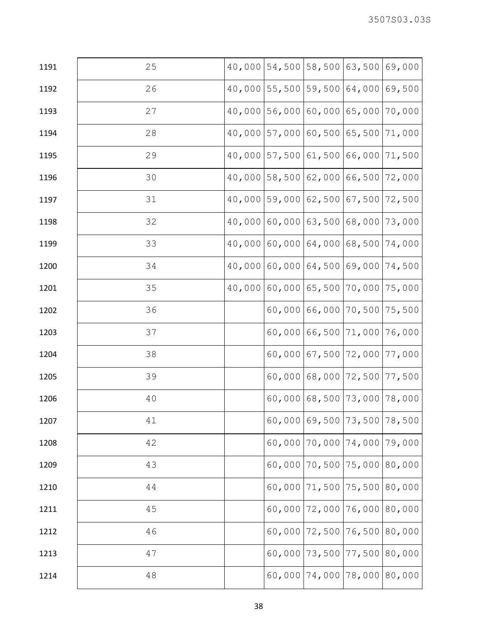| 1191 | 25 |               | $40,000$ 54,500 58,500 |                   | 63,500                              | 69,000 |
|------|----|---------------|------------------------|-------------------|-------------------------------------|--------|
| 1192 | 26 |               | $40,000$ 55,500        | 59,500            | 64,000                              | 69,500 |
| 1193 | 27 |               | 40,000 56,000          | 60,000            | 65,000                              | 70,000 |
| 1194 | 28 |               | $40,000$ 57,000 60,500 |                   | 65,500                              | 71,000 |
| 1195 | 29 |               | $40,000$ 57,500 61,500 |                   | 66,000                              | 71,500 |
| 1196 | 30 |               | $40,000$ 58,500 62,000 |                   | 66,500 72,000                       |        |
| 1197 | 31 |               | $40,000$ 59,000 62,500 |                   | 67,500                              | 72,500 |
| 1198 | 32 | 40,000 60,000 |                        | 63,500            | 68,000                              | 73,000 |
| 1199 | 33 |               | $40,000$ 60,000 64,000 |                   | 68,500 74,000                       |        |
| 1200 | 34 | 40,000        | 60,000                 | 64,500            | 69,000                              | 74,500 |
| 1201 | 35 | 40,000 60,000 |                        | 65,500            | 70,000                              | 75,000 |
| 1202 | 36 |               |                        | 60,00066,000      | 70,500 75,500                       |        |
| 1203 | 37 |               | 60,000                 | 66,500            | 71,000                              | 76,000 |
| 1204 | 38 |               |                        | $60,000$ 67,500   | 72,000 77,000                       |        |
| 1205 | 39 |               |                        | $60,000$ $68,000$ | 72,500                              | 77,500 |
| 1206 | 40 |               |                        |                   | $60,000$ $68,500$ 73,000            | 78,000 |
| 1207 | 41 |               |                        |                   | 60,000 69,500 73,500 78,500         |        |
| 1208 | 42 |               |                        |                   | $60,000$   70,000   74,000   79,000 |        |
| 1209 | 43 |               |                        | 60,000 70,500     | 75,000 80,000                       |        |
| 1210 | 44 |               |                        | $60,000$ 71,500   | 75,500 80,000                       |        |
| 1211 | 45 |               | 60,000                 | 72,000            | 76,000 80,000                       |        |
| 1212 | 46 |               | 60,000                 | 72,500            | 76,500 80,000                       |        |
| 1213 | 47 |               |                        | 60,000 73,500     | 77,500 80,000                       |        |
| 1214 | 48 |               |                        |                   | $60,000$   74,000   78,000   80,000 |        |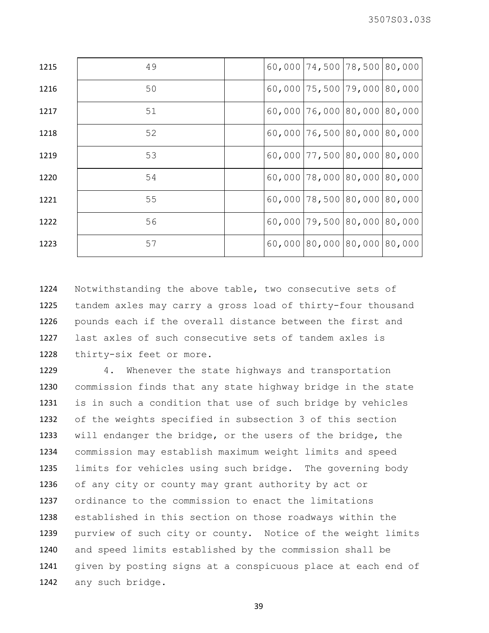| 1215 | 49 |  | $60,000$   74,500   78,500   80,000 |  |
|------|----|--|-------------------------------------|--|
| 1216 | 50 |  | $60,000$   75,500   79,000   80,000 |  |
| 1217 | 51 |  | $60,000$ 76,000 80,000 80,000       |  |
| 1218 | 52 |  | $60,000$ 76,500 80,000 80,000       |  |
| 1219 | 53 |  | $60,000$   77,500   80,000   80,000 |  |
| 1220 | 54 |  | $60,000$ 78,000 80,000 80,000       |  |
| 1221 | 55 |  | $60,000$ 78,500 80,000 80,000       |  |
| 1222 | 56 |  | $60,000$   79,500   80,000   80,000 |  |
| 1223 | 57 |  | $60,000$  80,000 80,000 80,000      |  |

 Notwithstanding the above table, two consecutive sets of tandem axles may carry a gross load of thirty-four thousand pounds each if the overall distance between the first and last axles of such consecutive sets of tandem axles is thirty-six feet or more.

 4. Whenever the state highways and transportation commission finds that any state highway bridge in the state is in such a condition that use of such bridge by vehicles of the weights specified in subsection 3 of this section will endanger the bridge, or the users of the bridge, the commission may establish maximum weight limits and speed limits for vehicles using such bridge. The governing body of any city or county may grant authority by act or ordinance to the commission to enact the limitations established in this section on those roadways within the purview of such city or county. Notice of the weight limits and speed limits established by the commission shall be given by posting signs at a conspicuous place at each end of any such bridge.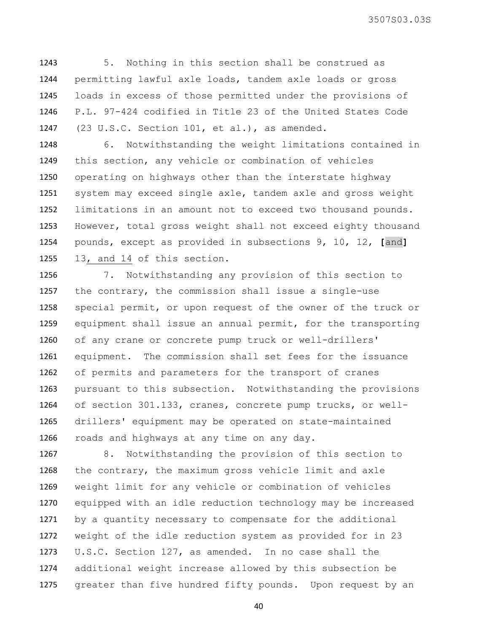5. Nothing in this section shall be construed as permitting lawful axle loads, tandem axle loads or gross loads in excess of those permitted under the provisions of P.L. 97-424 codified in Title 23 of the United States Code (23 U.S.C. Section 101, et al.), as amended.

 6. Notwithstanding the weight limitations contained in this section, any vehicle or combination of vehicles operating on highways other than the interstate highway system may exceed single axle, tandem axle and gross weight limitations in an amount not to exceed two thousand pounds. However, total gross weight shall not exceed eighty thousand pounds, except as provided in subsections 9, 10, 12, **[**and**]** 13, and 14 of this section.

 7. Notwithstanding any provision of this section to the contrary, the commission shall issue a single-use special permit, or upon request of the owner of the truck or equipment shall issue an annual permit, for the transporting of any crane or concrete pump truck or well-drillers' equipment. The commission shall set fees for the issuance of permits and parameters for the transport of cranes pursuant to this subsection. Notwithstanding the provisions of section 301.133, cranes, concrete pump trucks, or well- drillers' equipment may be operated on state-maintained roads and highways at any time on any day.

 8. Notwithstanding the provision of this section to the contrary, the maximum gross vehicle limit and axle weight limit for any vehicle or combination of vehicles equipped with an idle reduction technology may be increased by a quantity necessary to compensate for the additional weight of the idle reduction system as provided for in 23 U.S.C. Section 127, as amended. In no case shall the additional weight increase allowed by this subsection be 1275 greater than five hundred fifty pounds. Upon request by an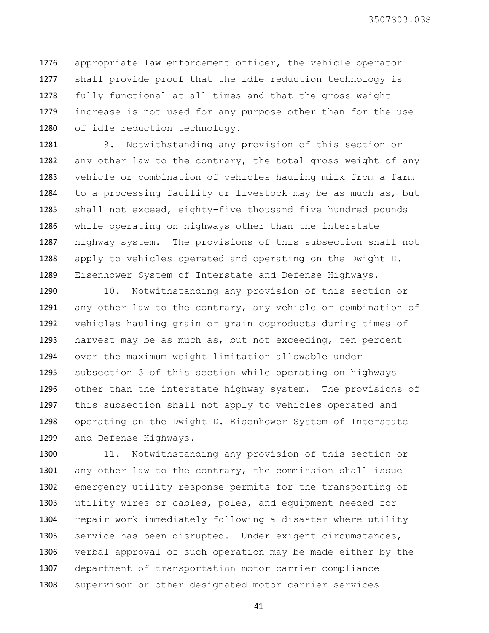appropriate law enforcement officer, the vehicle operator shall provide proof that the idle reduction technology is fully functional at all times and that the gross weight increase is not used for any purpose other than for the use of idle reduction technology.

 9. Notwithstanding any provision of this section or any other law to the contrary, the total gross weight of any vehicle or combination of vehicles hauling milk from a farm to a processing facility or livestock may be as much as, but shall not exceed, eighty-five thousand five hundred pounds while operating on highways other than the interstate highway system. The provisions of this subsection shall not apply to vehicles operated and operating on the Dwight D. Eisenhower System of Interstate and Defense Highways.

 10. Notwithstanding any provision of this section or any other law to the contrary, any vehicle or combination of vehicles hauling grain or grain coproducts during times of harvest may be as much as, but not exceeding, ten percent over the maximum weight limitation allowable under subsection 3 of this section while operating on highways other than the interstate highway system. The provisions of this subsection shall not apply to vehicles operated and operating on the Dwight D. Eisenhower System of Interstate and Defense Highways.

 11. Notwithstanding any provision of this section or any other law to the contrary, the commission shall issue emergency utility response permits for the transporting of utility wires or cables, poles, and equipment needed for repair work immediately following a disaster where utility service has been disrupted. Under exigent circumstances, verbal approval of such operation may be made either by the department of transportation motor carrier compliance supervisor or other designated motor carrier services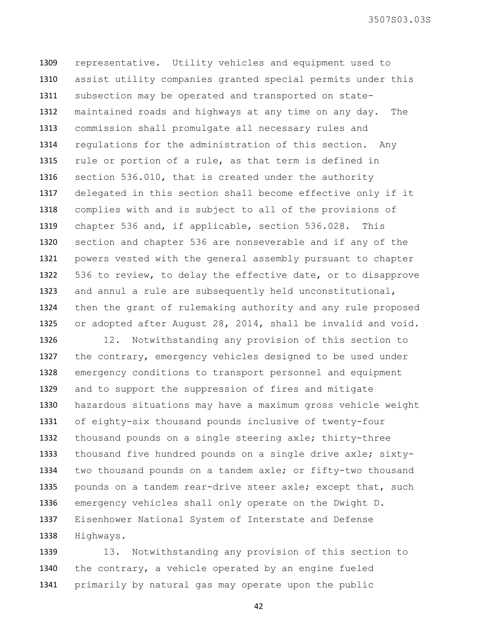representative. Utility vehicles and equipment used to assist utility companies granted special permits under this subsection may be operated and transported on state- maintained roads and highways at any time on any day. The commission shall promulgate all necessary rules and regulations for the administration of this section. Any rule or portion of a rule, as that term is defined in section 536.010, that is created under the authority delegated in this section shall become effective only if it complies with and is subject to all of the provisions of chapter 536 and, if applicable, section 536.028. This section and chapter 536 are nonseverable and if any of the powers vested with the general assembly pursuant to chapter 536 to review, to delay the effective date, or to disapprove and annul a rule are subsequently held unconstitutional, then the grant of rulemaking authority and any rule proposed or adopted after August 28, 2014, shall be invalid and void.

 12. Notwithstanding any provision of this section to 1327 the contrary, emergency vehicles designed to be used under emergency conditions to transport personnel and equipment and to support the suppression of fires and mitigate hazardous situations may have a maximum gross vehicle weight of eighty-six thousand pounds inclusive of twenty-four thousand pounds on a single steering axle; thirty-three thousand five hundred pounds on a single drive axle; sixty- two thousand pounds on a tandem axle; or fifty-two thousand 1335 pounds on a tandem rear-drive steer axle; except that, such emergency vehicles shall only operate on the Dwight D. Eisenhower National System of Interstate and Defense Highways.

 13. Notwithstanding any provision of this section to 1340 the contrary, a vehicle operated by an engine fueled primarily by natural gas may operate upon the public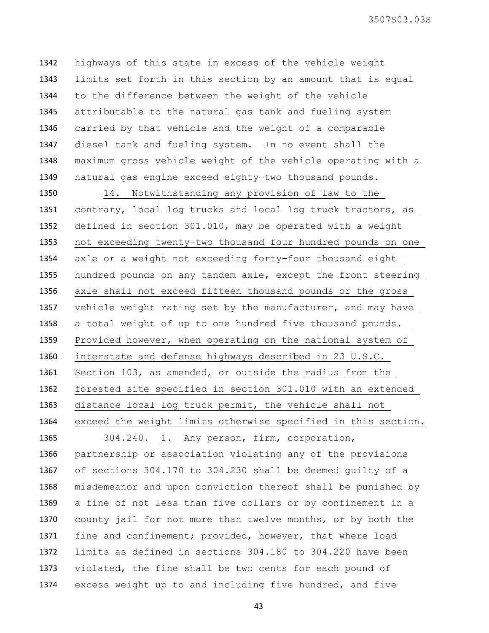highways of this state in excess of the vehicle weight limits set forth in this section by an amount that is equal to the difference between the weight of the vehicle attributable to the natural gas tank and fueling system carried by that vehicle and the weight of a comparable diesel tank and fueling system. In no event shall the maximum gross vehicle weight of the vehicle operating with a natural gas engine exceed eighty-two thousand pounds.

 14. Notwithstanding any provision of law to the contrary, local log trucks and local log truck tractors, as defined in section 301.010, may be operated with a weight not exceeding twenty-two thousand four hundred pounds on one axle or a weight not exceeding forty-four thousand eight hundred pounds on any tandem axle, except the front steering axle shall not exceed fifteen thousand pounds or the gross vehicle weight rating set by the manufacturer, and may have a total weight of up to one hundred five thousand pounds. Provided however, when operating on the national system of interstate and defense highways described in 23 U.S.C. Section 103, as amended, or outside the radius from the forested site specified in section 301.010 with an extended distance local log truck permit, the vehicle shall not exceed the weight limits otherwise specified in this section.

 304.240. 1. Any person, firm, corporation, partnership or association violating any of the provisions of sections 304.170 to 304.230 shall be deemed guilty of a misdemeanor and upon conviction thereof shall be punished by a fine of not less than five dollars or by confinement in a county jail for not more than twelve months, or by both the fine and confinement; provided, however, that where load limits as defined in sections 304.180 to 304.220 have been violated, the fine shall be two cents for each pound of excess weight up to and including five hundred, and five